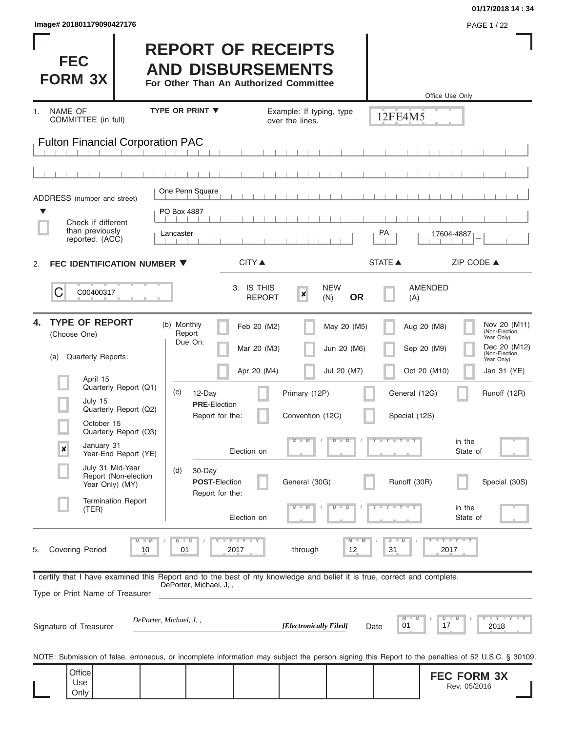| lmage# 201801179090427176 | <b>PAGE 1/22</b> |
|---------------------------|------------------|
|---------------------------|------------------|

**FEC** 

**FORM 3X**

## **REPORT OF RECEIPTS AND DISBURSEMENTS**

**For Other Than An Authorized Committee**

|                                                                                                                                                                                                                                                                                                                                                         |                                                                                                                                                                             |                                                                                                                                                                                           | Office Use Only                                                                                                                                                                                                                                                                          |
|---------------------------------------------------------------------------------------------------------------------------------------------------------------------------------------------------------------------------------------------------------------------------------------------------------------------------------------------------------|-----------------------------------------------------------------------------------------------------------------------------------------------------------------------------|-------------------------------------------------------------------------------------------------------------------------------------------------------------------------------------------|------------------------------------------------------------------------------------------------------------------------------------------------------------------------------------------------------------------------------------------------------------------------------------------|
| NAME OF<br>1.<br>COMMITTEE (in full)                                                                                                                                                                                                                                                                                                                    | <b>TYPE OR PRINT ▼</b>                                                                                                                                                      | Example: If typing, type<br>over the lines.                                                                                                                                               | 12FE4M5                                                                                                                                                                                                                                                                                  |
| <b>Fulton Financial Corporation PAC</b>                                                                                                                                                                                                                                                                                                                 |                                                                                                                                                                             |                                                                                                                                                                                           |                                                                                                                                                                                                                                                                                          |
|                                                                                                                                                                                                                                                                                                                                                         |                                                                                                                                                                             |                                                                                                                                                                                           |                                                                                                                                                                                                                                                                                          |
| ADDRESS (number and street)                                                                                                                                                                                                                                                                                                                             | One Penn Square                                                                                                                                                             |                                                                                                                                                                                           |                                                                                                                                                                                                                                                                                          |
| v<br>Check if different<br>than previously<br>reported. (ACC)                                                                                                                                                                                                                                                                                           | PO Box 4887<br>Lancaster                                                                                                                                                    |                                                                                                                                                                                           | PA<br>17604-4887                                                                                                                                                                                                                                                                         |
| FEC IDENTIFICATION NUMBER ▼<br>2.                                                                                                                                                                                                                                                                                                                       | <b>CITY</b> ▲                                                                                                                                                               |                                                                                                                                                                                           | <b>STATE ▲</b><br>ZIP CODE ▲                                                                                                                                                                                                                                                             |
| C<br>C00400317                                                                                                                                                                                                                                                                                                                                          | 3. IS THIS                                                                                                                                                                  | <b>NEW</b><br>$\pmb{\times}$<br><b>REPORT</b><br>(N)                                                                                                                                      | <b>AMENDED</b><br><b>OR</b><br>(A)                                                                                                                                                                                                                                                       |
| <b>TYPE OF REPORT</b><br>4.<br>(Choose One)<br>Quarterly Reports:<br>(a)<br>April 15<br>Quarterly Report (Q1)<br>July 15<br>Quarterly Report (Q2)<br>October 15<br>Quarterly Report (Q3)<br>January 31<br>$\boldsymbol{x}$<br>Year-End Report (YE)<br>July 31 Mid-Year<br>Report (Non-election<br>Year Only) (MY)<br><b>Termination Report</b><br>(TER) | (b) Monthly<br>Report<br>Due On:<br>(c)<br>12-Day<br><b>PRE</b> Election<br>Report for the:<br>Election on<br>(d)<br>30-Day<br><b>POST-Election</b><br>Report for the:      | Feb 20 (M2)<br>May 20 (M5)<br>Mar 20 (M3)<br>Jun 20 (M6)<br>Apr 20 (M4)<br>Jul 20 (M7)<br>Primary (12P)<br>Convention (12C)<br>$M - M$<br>$D$ $D$<br>General (30G)<br>M<br>D<br>$-M$<br>D | Nov 20 (M11)<br>Aug 20 (M8)<br>(Non-Election<br>Year Only)<br>Dec 20 (M12)<br>Sep 20 (M9)<br>(Non-Election<br>Year Only)<br>Oct 20 (M10)<br>Jan 31 (YE)<br>Runoff (12R)<br>General (12G)<br>Special (12S)<br>Y FY FY FY<br>in the<br>State of<br>Runoff (30R)<br>Special (30S)<br>in the |
| <b>Covering Period</b><br>5.                                                                                                                                                                                                                                                                                                                            | Election on<br>$-Y$ $Y$ $ Y$<br>$D$ $D$<br>2017<br>10<br>01                                                                                                                 | through<br>12                                                                                                                                                                             | State of<br>$Y - Y - Y - I - Y$<br>$M - M$<br>$D$ $D$<br>31<br>2017                                                                                                                                                                                                                      |
| Type or Print Name of Treasurer<br>Signature of Treasurer                                                                                                                                                                                                                                                                                               | I certify that I have examined this Report and to the best of my knowledge and belief it is true, correct and complete.<br>DePorter, Michael, J,,<br>DePorter, Michael, J,, | [Electronically Filed]                                                                                                                                                                    | $T$ $Y$ $T$ $Y$ $T$ $Y$<br>M<br>$D$ $D$<br>01<br>17<br>2018<br>Date<br>NOTE: Submission of false, erroneous, or incomplete information may subject the person signing this Report to the penalties of 52 U.S.C. § 30109.                                                                 |
| Office<br>Use<br>Only                                                                                                                                                                                                                                                                                                                                   |                                                                                                                                                                             |                                                                                                                                                                                           | <b>FEC FORM 3X</b><br>Rev. 05/2016                                                                                                                                                                                                                                                       |

**01/17/2018 14 : 34**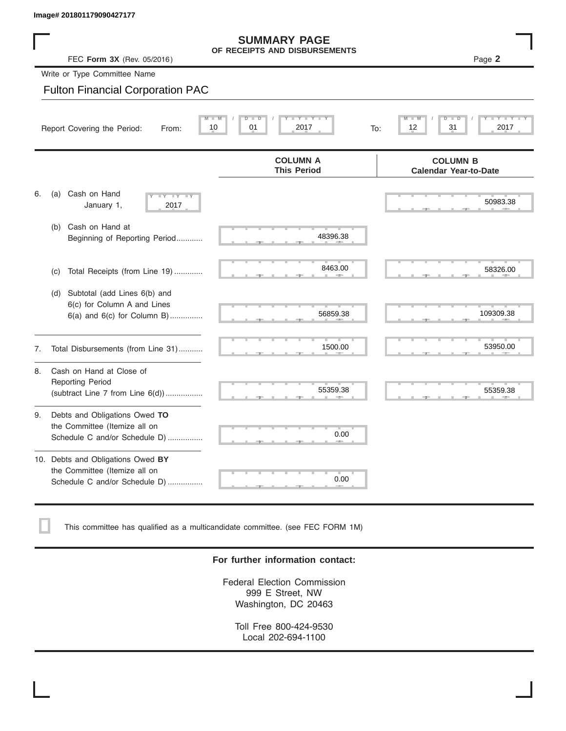|    | Image# 201801179090427177                                                                             |                                                          |                                                                    |
|----|-------------------------------------------------------------------------------------------------------|----------------------------------------------------------|--------------------------------------------------------------------|
|    | FEC Form 3X (Rev. 05/2016)                                                                            | <b>SUMMARY PAGE</b><br>OF RECEIPTS AND DISBURSEMENTS     | Page 2                                                             |
|    | Write or Type Committee Name                                                                          |                                                          |                                                                    |
|    | <b>Fulton Financial Corporation PAC</b>                                                               |                                                          |                                                                    |
|    | $M -$<br>Report Covering the Period:<br>From:                                                         | $Y - Y$<br>$D - I$<br>$\overline{D}$<br>10<br>01<br>2017 | $\blacksquare$<br>Y<br>T<br>$\Box$<br>т<br>12<br>31<br>2017<br>To: |
|    |                                                                                                       | <b>COLUMN A</b><br><b>This Period</b>                    | <b>COLUMN B</b><br><b>Calendar Year-to-Date</b>                    |
| 6. | Cash on Hand<br>(a)<br>$\overline{\mathbf{y}}$<br>January 1,<br>2017                                  |                                                          | 50983.38                                                           |
|    | Cash on Hand at<br>(b)<br>Beginning of Reporting Period                                               | 48396.38                                                 |                                                                    |
|    | Total Receipts (from Line 19)<br>(C)                                                                  | 8463.00                                                  | 58326.00                                                           |
|    | Subtotal (add Lines 6(b) and<br>(d)<br>6(c) for Column A and Lines<br>$6(a)$ and $6(c)$ for Column B) | 56859.38                                                 | 109309.38                                                          |
| 7. | Total Disbursements (from Line 31)                                                                    | 1500.00                                                  | 53950.00                                                           |
| 8. | Cash on Hand at Close of<br><b>Reporting Period</b><br>(subtract Line $7$ from Line $6(d)$ )          | 55359.38                                                 | 55359.38                                                           |
| 9. | Debts and Obligations Owed TO<br>the Committee (Itemize all on<br>Schedule C and/or Schedule D)       | 0.00                                                     |                                                                    |
|    | 10. Debts and Obligations Owed BY<br>the Committee (Itemize all on<br>Schedule C and/or Schedule D)   | 0.00                                                     |                                                                    |

This committee has qualified as a multicandidate committee. (see FEC FORM 1M)

#### **For further information contact:**

Federal Election Commission 999 E Street, NW Washington, DC 20463

Toll Free 800-424-9530 Local 202-694-1100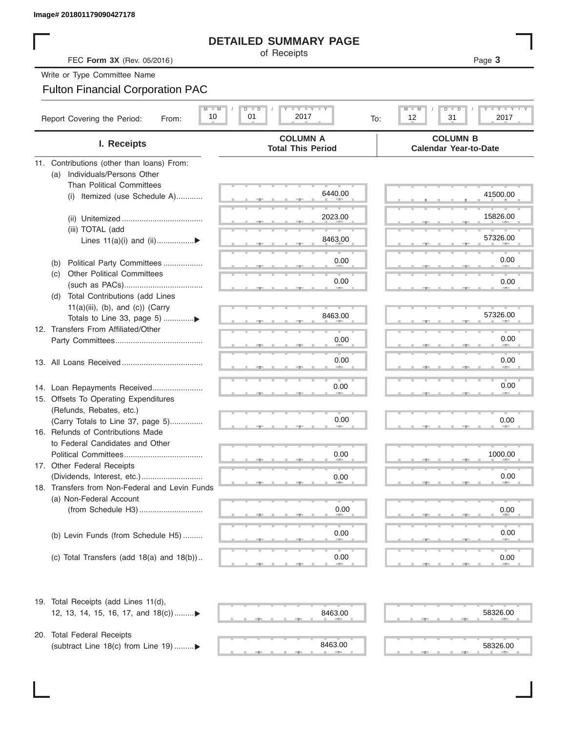#### **DETAILED SUMMARY PAGE**

#### Fulton Financial Corporation PAC

| Image# 201801179090427178                                         |                                                                                                               |                                                                |
|-------------------------------------------------------------------|---------------------------------------------------------------------------------------------------------------|----------------------------------------------------------------|
|                                                                   | <b>DETAILED SUMMARY PAGE</b>                                                                                  |                                                                |
| FEC Form 3X (Rev. 05/2016)                                        | of Receipts                                                                                                   | Page 3                                                         |
| Write or Type Committee Name                                      |                                                                                                               |                                                                |
| <b>Fulton Financial Corporation PAC</b>                           |                                                                                                               |                                                                |
| $M$ $M$<br>10<br>Report Covering the Period:<br>From:             | $\mathbf{I}$ $\mathbf{Y}$ $\mathbf{I}$ $\mathbf{Y}$ $\mathbf{I}$ $\mathbf{Y}$<br>$D$ $D$<br>01<br>2017<br>To: | <b>LEY LEY LE</b><br>$M - M$<br>$D$ $\Box$<br>12<br>31<br>2017 |
| I. Receipts                                                       | <b>COLUMN A</b><br><b>Total This Period</b>                                                                   | <b>COLUMN B</b><br><b>Calendar Year-to-Date</b>                |
| 11. Contributions (other than loans) From:                        |                                                                                                               |                                                                |
| Individuals/Persons Other<br>(a)                                  |                                                                                                               |                                                                |
| <b>Than Political Committees</b>                                  | 6440.00                                                                                                       |                                                                |
| Itemized (use Schedule A)<br>(i)                                  |                                                                                                               | 41500.00                                                       |
|                                                                   | 2023.00                                                                                                       | 15826.00                                                       |
| (iii) TOTAL (add                                                  |                                                                                                               |                                                                |
| Lines $11(a)(i)$ and $(ii)$                                       | 8463.00                                                                                                       | 57326.00                                                       |
|                                                                   |                                                                                                               |                                                                |
| Political Party Committees<br>(b)                                 | 0.00                                                                                                          | 0.00                                                           |
| <b>Other Political Committees</b><br>(C)                          | 0.00                                                                                                          | 0.00                                                           |
| Total Contributions (add Lines                                    |                                                                                                               |                                                                |
| (d)<br>$11(a)(iii)$ , (b), and (c)) (Carry                        |                                                                                                               |                                                                |
|                                                                   | 8463.00                                                                                                       | 57326.00                                                       |
| 12. Transfers From Affiliated/Other                               |                                                                                                               |                                                                |
|                                                                   | 0.00                                                                                                          | 0.00                                                           |
|                                                                   | 0.00                                                                                                          | 0.00                                                           |
|                                                                   |                                                                                                               |                                                                |
|                                                                   |                                                                                                               | 0.00                                                           |
| 14. Loan Repayments Received                                      | 0.00                                                                                                          |                                                                |
| 15. Offsets To Operating Expenditures<br>(Refunds, Rebates, etc.) |                                                                                                               |                                                                |
| (Carry Totals to Line 37, page 5)                                 | 0.00                                                                                                          | 0.00                                                           |
| 16. Refunds of Contributions Made                                 |                                                                                                               |                                                                |
| to Federal Candidates and Other                                   |                                                                                                               |                                                                |
| Political Committees                                              | 0.00                                                                                                          | 1000.00                                                        |
| 17. Other Federal Receipts                                        |                                                                                                               |                                                                |
| 18. Transfers from Non-Federal and Levin Funds                    | 0.00                                                                                                          | 0.00                                                           |
| (a) Non-Federal Account                                           |                                                                                                               |                                                                |
|                                                                   | 0.00                                                                                                          | 0.00                                                           |
|                                                                   |                                                                                                               |                                                                |
| (b) Levin Funds (from Schedule H5)                                | 0.00                                                                                                          | 0.00                                                           |
|                                                                   |                                                                                                               |                                                                |
| (c) Total Transfers (add $18(a)$ and $18(b)$ )                    | 0.00                                                                                                          | 0.00                                                           |
| 19. Total Receipts (add Lines 11(d),                              |                                                                                                               |                                                                |
| 12, 13, 14, 15, 16, 17, and 18(c))▶                               | 8463.00                                                                                                       | 58326.00                                                       |
| 20. Total Federal Receipts                                        |                                                                                                               |                                                                |
| (subtract Line 18(c) from Line 19)▶                               | 8463.00                                                                                                       | 58326.00                                                       |

20. Total Federal Receipts (subtract Line 18(c) from Line 19) ......... $\blacktriangleright$ 

 $\frac{8463.00}{2}$  , ... , ... , ... , ... , ... , ... , ... , ... , ... , ... , ... , ... , ... , ... , ... , ... , ... , ... , ... , ... , ... , ... , ... , ... , ... , ... , ... , ... , ... , ... , ... , ... , ... , ... ,

# 8463.00 58326.00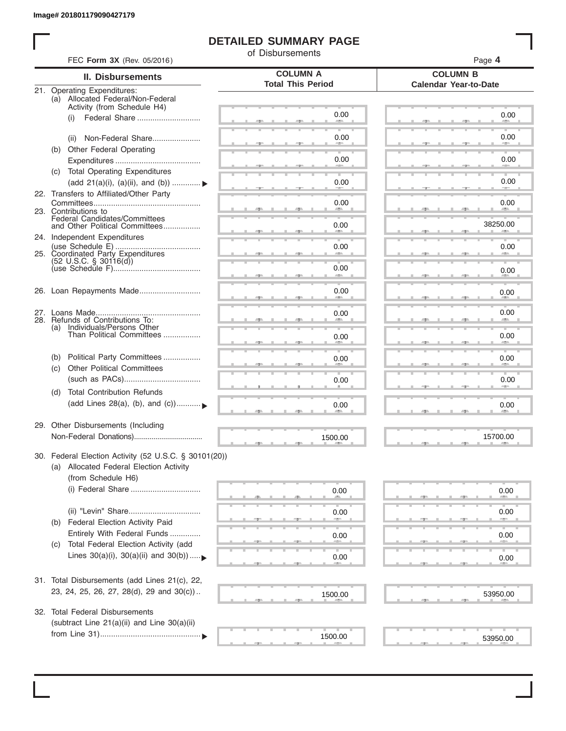I

### **DETAILED SUMMARY PAGE**

of Disbursements

|     | FEC Form 3X (Rev. 05/2016)                                        |                                             | Page 4                                          |  |  |  |
|-----|-------------------------------------------------------------------|---------------------------------------------|-------------------------------------------------|--|--|--|
|     | <b>II. Disbursements</b>                                          | <b>COLUMN A</b><br><b>Total This Period</b> | <b>COLUMN B</b><br><b>Calendar Year-to-Date</b> |  |  |  |
|     | 21. Operating Expenditures:<br>(a) Allocated Federal/Non-Federal  |                                             |                                                 |  |  |  |
|     | Activity (from Schedule H4)                                       |                                             |                                                 |  |  |  |
|     | Federal Share<br>(i)                                              | 0.00                                        | 0.00                                            |  |  |  |
|     |                                                                   |                                             |                                                 |  |  |  |
|     | Non-Federal Share<br>(ii)                                         | 0.00                                        | 0.00                                            |  |  |  |
| (b) | Other Federal Operating                                           | 0.00                                        | 0.00                                            |  |  |  |
|     | (c) Total Operating Expenditures                                  |                                             |                                                 |  |  |  |
|     | (add 21(a)(i), (a)(ii), and (b))                                  | 0.00                                        | 0.00                                            |  |  |  |
|     | 22. Transfers to Affiliated/Other Party                           |                                             |                                                 |  |  |  |
|     |                                                                   | 0.00                                        | 0.00<br><b>Allen</b>                            |  |  |  |
|     | 23. Contributions to                                              | -                                           |                                                 |  |  |  |
|     | Federal Candidates/Committees<br>and Other Political Committees   | 0.00                                        | 38250.00                                        |  |  |  |
|     | 24. Independent Expenditures                                      |                                             |                                                 |  |  |  |
|     | 25. Coordinated Party Expenditures                                | 0.00                                        | 0.00                                            |  |  |  |
|     | $(52 \text{ U.S.C. }$ § 30116(d))                                 |                                             |                                                 |  |  |  |
|     |                                                                   | 0.00<br>and the contract of                 | 0.00                                            |  |  |  |
|     | 26. Loan Repayments Made                                          | 0.00                                        |                                                 |  |  |  |
|     |                                                                   |                                             | 0.00                                            |  |  |  |
|     |                                                                   | 0.00                                        | 0.00                                            |  |  |  |
|     | 28. Refunds of Contributions To:<br>(a) Individuals/Persons Other |                                             |                                                 |  |  |  |
|     | Than Political Committees                                         | 0.00                                        | 0.00                                            |  |  |  |
|     |                                                                   |                                             |                                                 |  |  |  |
| (b) | Political Party Committees                                        | 0.00                                        | 0.00                                            |  |  |  |
| (C) | <b>Other Political Committees</b>                                 |                                             |                                                 |  |  |  |
|     |                                                                   | 0.00                                        | 0.00                                            |  |  |  |
| (d) | <b>Total Contribution Refunds</b>                                 |                                             |                                                 |  |  |  |
|     | (add Lines 28(a), (b), and (c))                                   | 0.00                                        | 0.00                                            |  |  |  |
|     |                                                                   |                                             |                                                 |  |  |  |
|     | 29. Other Disbursements (Including                                |                                             |                                                 |  |  |  |
|     |                                                                   | 1500.00                                     | 15700.00                                        |  |  |  |
|     | 30. Federal Election Activity (52 U.S.C. § 30101(20))             |                                             |                                                 |  |  |  |
|     | (a) Allocated Federal Election Activity                           |                                             |                                                 |  |  |  |
|     | (from Schedule H6)                                                |                                             |                                                 |  |  |  |
|     | (i) Federal Share                                                 | 0.00                                        | 0.00                                            |  |  |  |
|     |                                                                   |                                             |                                                 |  |  |  |
|     |                                                                   | 0.00                                        | 0.00                                            |  |  |  |
| (b) | Federal Election Activity Paid                                    |                                             |                                                 |  |  |  |
|     | Entirely With Federal Funds                                       | 0.00                                        | 0.00                                            |  |  |  |
| (C) | Total Federal Election Activity (add                              |                                             |                                                 |  |  |  |
|     | Lines $30(a)(i)$ , $30(a)(ii)$ and $30(b))$                       | 0.00                                        | 0.00                                            |  |  |  |
|     |                                                                   |                                             |                                                 |  |  |  |
|     | 31. Total Disbursements (add Lines 21(c), 22,                     |                                             |                                                 |  |  |  |
|     | 23, 24, 25, 26, 27, 28(d), 29 and 30(c))                          | 1500.00                                     | 53950.00                                        |  |  |  |
| 32. | <b>Total Federal Disbursements</b>                                |                                             |                                                 |  |  |  |
|     | (subtract Line 21(a)(ii) and Line 30(a)(ii)                       |                                             |                                                 |  |  |  |
|     |                                                                   | 1500.00                                     |                                                 |  |  |  |
|     |                                                                   |                                             | 53950.00                                        |  |  |  |
|     |                                                                   |                                             |                                                 |  |  |  |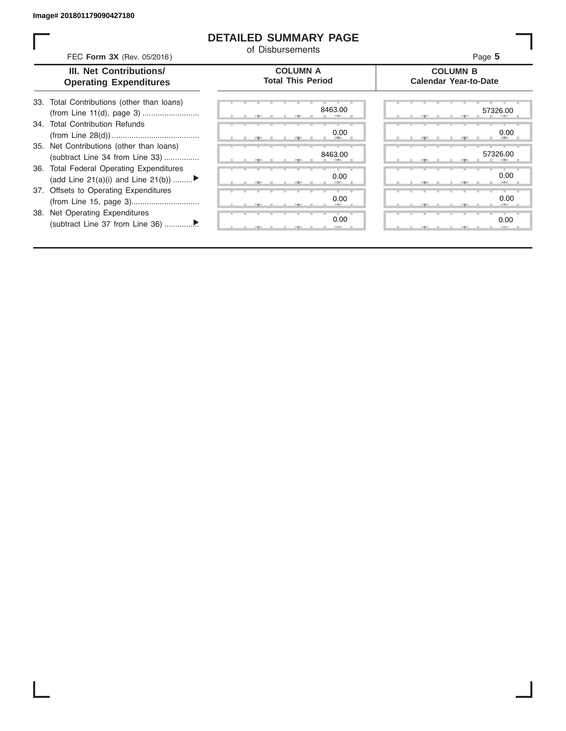I

#### **DETAILED SUMMARY PAGE**

of Disbursements

|                               | III. Net Contributions/                                                        | <b>COLUMN A</b>          | <b>COLUMN B</b>              |  |  |
|-------------------------------|--------------------------------------------------------------------------------|--------------------------|------------------------------|--|--|
| <b>Operating Expenditures</b> |                                                                                | <b>Total This Period</b> | <b>Calendar Year-to-Date</b> |  |  |
|                               | 33. Total Contributions (other than loans)                                     | 8463.00                  | 57326.00                     |  |  |
|                               | 34. Total Contribution Refunds                                                 | 0.00                     | 0.00                         |  |  |
|                               | 35. Net Contributions (other than loans)<br>(subtract Line 34 from Line 33)    | 8463.00                  | 57326.00                     |  |  |
|                               | 36. Total Federal Operating Expenditures<br>(add Line 21(a)(i) and Line 21(b)) | 0.00                     | 0.00                         |  |  |
|                               | 37. Offsets to Operating Expenditures                                          | 0.00                     | 0.00                         |  |  |
|                               | 38. Net Operating Expenditures                                                 | 0.00                     | 0.00                         |  |  |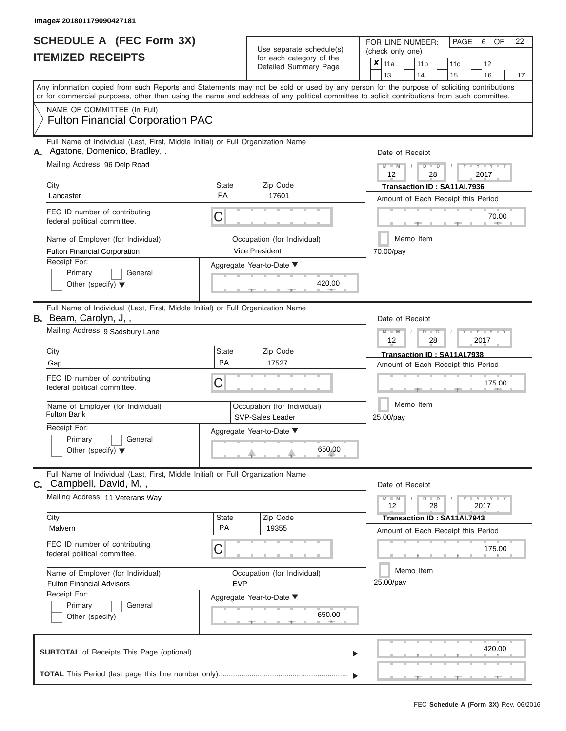|                          | SCHEDULE A (FEC Form 3X) |  |
|--------------------------|--------------------------|--|
| <b>ITEMIZED RECEIPTS</b> |                          |  |

**TOTAL** This Period (last page this line number only)..................................

Use separate schedule(s)<br>for each category of the<br> $\frac{|\mathbf{x}|}{|\mathbf{x}|}$  11a  $\frac{|\mathbf{x}|}{|\mathbf{x}|}$  11b

FOR LINE NUMBER: PAGE 6<br>(check only one)

 $\overline{\mathbf{x}}$  11a

OF 22

 $, \qquad$  420. ▲ ▲ ▲ , , . Aggregate Year-to-Date ▼  $\frac{420.0}{7}$ C C ▲ ▲ ▲ , , . , , . ▲ ▲ ▲ C **M M / D D / Y Y Y Y M M / D D / Y Y Y Y M M / D D / Y Y Y Y**  $\uparrow$  650.0  $, -$  650. Any information copied from such Reports and Statements may not be sold or used by any person for the purpose of soliciting contributions or for commercial purposes, other than using the name and address of any political committee to solicit contributions from such committee. NAME OF COMMITTEE (In Full) **SUBTOTAL** of Receipts This Page (optional)............................................................................ ▼ ▼ Full Name of Individual (Last, First, Middle Initial) or Full Organization Name Mailing Address 96 Delp Road City City Code City State City Receipt For: Primary **General** Other (specify) ▼ Amount of Each Receipt this Period **A.** Date of Receipt Name of Employer (for Individual) Occupation (for Individual) FEC ID number of contributing federal political committee. Full Name of Individual (Last, First, Middle Initial) or Full Organization Name Mailing Address 9 Sadsbury Lane City **State** Zip Code Receipt For: Primary **General** Other (specify) ▼ Amount of Each Receipt this Period **B.** Beam, Carolyn, J, , Aggregate Year-to-Date ▼ Date of Receipt FEC ID number of contributing federal political committee. Full Name of Individual (Last, First, Middle Initial) or Full Organization Name Mailing Address 11 Veterans Way City City State 2012 | State 2012 | Zip Code Receipt For: Primary **General** Other (specify) Amount of Each Receipt this Period **C.** Campbell, David, M, , Aggregate Year-to-Date ▼ Date of Receipt FEC ID number of contributing federal political committee. Detailed Summary Page  $\begin{array}{|c|c|c|c|c|c|}\n\hline\n11a & 11b & 11c & 12 \ \hline\n13 & 14 & 15 & 16\n\end{array}$ |13 | |14 | |15 | |16 | |17 Memo Item Memo Item Memo Item Name of Employer (for Individual) <br>
Fulton Bank<br>
SVP Sales Loader Name of Employer (for Individual) <br> Qccupation (for Individual) Fulton Financial Corporation PAC Agatone, Domenico, Bradley, , 12 | 28 | 2017 City City City City Contents of Each Peace of the Past of Each Peace of the Past of Each Peace of the Past of Each Peace of the Past of Each Peace of the Past of Each Peace of the Past of the Past of the Past of the Past o Fulton Financial Corporation **Vice President** 70.00/pay 420.00 70.00 12 | 28 | 2017 Gap Parameter Parameter Parameter Parameter Parameter Parameter Parameter Parameter Parameter Parameter Parameter<br>Parameter Parameter Parameter Parameter Parameter Parameter Parameter Parameter Parameter Parameter Paramete SVP-Sales Leader 650.00 25.00/pay 175.00  $12 \parallel 28 \parallel 2017$ City **Transaction ID : SA11AI.7943**<br>Malvern PA 19355 Amount of Each Beceint this Pe Fulton Financial Advisors **EVP** 25.00/pay 175.00<br>
(175.00)<br>
(175.00<br>
(175.00<br>
25.00/pay<br>
(650.00 420.00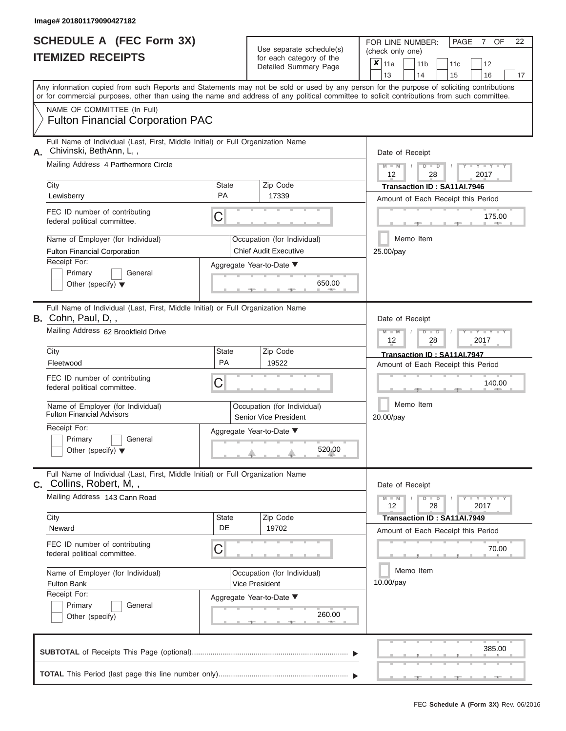| <b>SCHEDULE A (FEC Form 3X)</b> |  |
|---------------------------------|--|
| <b>ITEMIZED RECEIPTS</b>        |  |

FOR LINE NUMBER:<br>(check only one) Use separate schedule(s)<br>for each category of the

|    | IILMILLY REVLII IV                                                                                                                         |                                                      |        | ivi cavii valcyviy vi liic<br>Detailed Summary Page | × | 11a                                             |  | 11 <sub>b</sub>      | 11c                                |  | 12                   |    |  |
|----|--------------------------------------------------------------------------------------------------------------------------------------------|------------------------------------------------------|--------|-----------------------------------------------------|---|-------------------------------------------------|--|----------------------|------------------------------------|--|----------------------|----|--|
|    | Any information copied from such Reports and Statements may not be sold or used by any person for the purpose of soliciting contributions  |                                                      |        |                                                     |   | 13                                              |  | 14                   | 15                                 |  | 16                   | 17 |  |
|    | or for commercial purposes, other than using the name and address of any political committee to solicit contributions from such committee. |                                                      |        |                                                     |   |                                                 |  |                      |                                    |  |                      |    |  |
|    | NAME OF COMMITTEE (In Full)                                                                                                                |                                                      |        |                                                     |   |                                                 |  |                      |                                    |  |                      |    |  |
|    | <b>Fulton Financial Corporation PAC</b>                                                                                                    |                                                      |        |                                                     |   |                                                 |  |                      |                                    |  |                      |    |  |
|    | Full Name of Individual (Last, First, Middle Initial) or Full Organization Name<br>Chivinski, BethAnn, L,,                                 |                                                      |        |                                                     |   |                                                 |  |                      |                                    |  |                      |    |  |
| А. | Mailing Address 4 Parthermore Circle                                                                                                       |                                                      |        |                                                     |   | Date of Receipt                                 |  |                      |                                    |  |                      |    |  |
|    |                                                                                                                                            |                                                      |        |                                                     |   | $M - M$<br>12                                   |  | $D$ $\Box$ $D$<br>28 |                                    |  | $- Y$<br>2017        |    |  |
|    | City                                                                                                                                       | <b>State</b>                                         |        | Zip Code                                            |   | Transaction ID: SA11AI.7946                     |  |                      |                                    |  |                      |    |  |
|    | Lewisberry                                                                                                                                 | <b>PA</b>                                            |        | 17339                                               |   |                                                 |  |                      | Amount of Each Receipt this Period |  |                      |    |  |
|    | FEC ID number of contributing<br>federal political committee.                                                                              | C                                                    |        |                                                     |   |                                                 |  |                      |                                    |  | 175.00<br><b>AND</b> |    |  |
|    | Name of Employer (for Individual)                                                                                                          |                                                      |        | Occupation (for Individual)                         |   |                                                 |  | Memo Item            |                                    |  |                      |    |  |
|    | <b>Fulton Financial Corporation</b>                                                                                                        |                                                      |        | <b>Chief Audit Executive</b>                        |   | 25.00/pay                                       |  |                      |                                    |  |                      |    |  |
|    | Receipt For:                                                                                                                               |                                                      |        | Aggregate Year-to-Date ▼                            |   |                                                 |  |                      |                                    |  |                      |    |  |
|    | Primary<br>General<br>Other (specify) $\blacktriangledown$                                                                                 |                                                      |        | 650.00                                              |   |                                                 |  |                      |                                    |  |                      |    |  |
|    |                                                                                                                                            |                                                      |        | <b>CONTRACTOR</b>                                   |   |                                                 |  |                      |                                    |  |                      |    |  |
|    | Full Name of Individual (Last, First, Middle Initial) or Full Organization Name<br>B. Cohn, Paul, D,,                                      |                                                      |        |                                                     |   | Date of Receipt                                 |  |                      |                                    |  |                      |    |  |
|    | Mailing Address 62 Brookfield Drive                                                                                                        |                                                      |        | $M - M$<br>$D$ $D$<br>$-Y$<br>12<br>28<br>2017      |   |                                                 |  |                      |                                    |  |                      |    |  |
|    | City                                                                                                                                       | <b>State</b>                                         |        | Zip Code                                            |   |                                                 |  |                      | Transaction ID: SA11AI.7947        |  |                      |    |  |
|    | Fleetwood                                                                                                                                  | PA                                                   |        | 19522                                               |   |                                                 |  |                      | Amount of Each Receipt this Period |  |                      |    |  |
|    | FEC ID number of contributing<br>federal political committee.                                                                              | С                                                    |        |                                                     |   | 140.00                                          |  |                      |                                    |  |                      |    |  |
|    | Name of Employer (for Individual)<br><b>Fulton Financial Advisors</b>                                                                      | Occupation (for Individual)<br>Senior Vice President |        |                                                     |   | Memo Item<br>20.00/pay                          |  |                      |                                    |  |                      |    |  |
|    | Receipt For:                                                                                                                               |                                                      |        | Aggregate Year-to-Date ▼                            |   |                                                 |  |                      |                                    |  |                      |    |  |
|    | Primary<br>General<br>Other (specify) $\blacktriangledown$                                                                                 |                                                      | 520.00 |                                                     |   |                                                 |  |                      |                                    |  |                      |    |  |
|    |                                                                                                                                            |                                                      |        |                                                     |   |                                                 |  |                      |                                    |  |                      |    |  |
| C. | Full Name of Individual (Last, First, Middle Initial) or Full Organization Name<br>Collins, Robert, M,,                                    |                                                      |        |                                                     |   | Date of Receipt                                 |  |                      |                                    |  |                      |    |  |
|    | Mailing Address 143 Cann Road                                                                                                              |                                                      |        |                                                     |   | $M - M$<br>Y TYT<br>$D$ $D$<br>12<br>28<br>2017 |  |                      |                                    |  |                      |    |  |
|    | City<br>Neward                                                                                                                             | <b>State</b><br>DE                                   |        | Zip Code<br>19702                                   |   |                                                 |  |                      | Transaction ID: SA11AI.7949        |  |                      |    |  |
|    |                                                                                                                                            |                                                      |        |                                                     |   |                                                 |  |                      | Amount of Each Receipt this Period |  |                      |    |  |
|    | FEC ID number of contributing<br>federal political committee.                                                                              | С                                                    |        |                                                     |   |                                                 |  |                      |                                    |  | 70.00                |    |  |
|    | Name of Employer (for Individual)                                                                                                          |                                                      |        | Occupation (for Individual)                         |   |                                                 |  | Memo Item            |                                    |  |                      |    |  |
|    | <b>Fulton Bank</b>                                                                                                                         |                                                      |        | Vice President                                      |   | 10.00/pay                                       |  |                      |                                    |  |                      |    |  |
|    | Receipt For:<br>Primary<br>General                                                                                                         |                                                      |        | Aggregate Year-to-Date ▼                            |   |                                                 |  |                      |                                    |  |                      |    |  |
|    | Other (specify)                                                                                                                            |                                                      |        | 260.00                                              |   |                                                 |  |                      |                                    |  |                      |    |  |
|    |                                                                                                                                            |                                                      |        |                                                     |   |                                                 |  |                      |                                    |  | 385.00               |    |  |
|    |                                                                                                                                            |                                                      |        |                                                     |   |                                                 |  |                      |                                    |  |                      |    |  |

PAGE 7 OF 22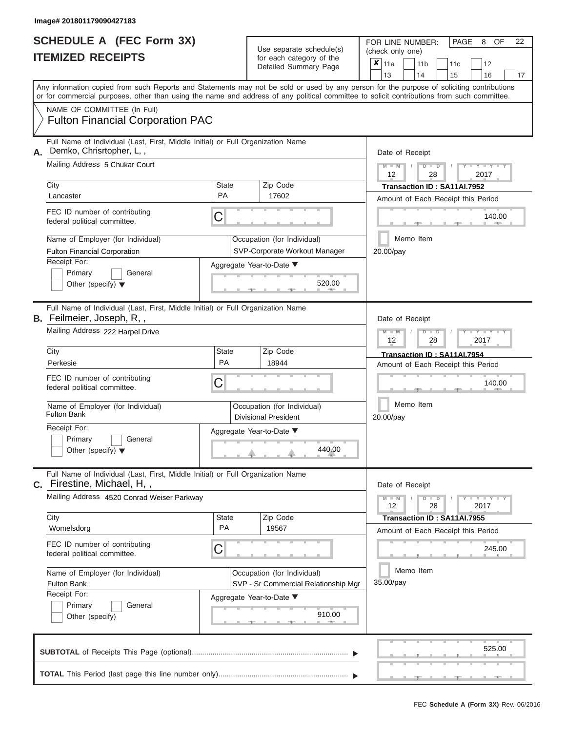|                          | <b>SCHEDULE A (FEC Form 3X)</b> |
|--------------------------|---------------------------------|
| <b>ITEMIZED RECEIPTS</b> |                                 |

Use separate schedule(s) (check only one) for each category of the

FOR LINE NUMBER:<br>(check only one)

PAGE 8 OF 22

|    | IIEMIZED RECEIPIS                                                                                                                                                                                                                                                                                                                                                                                              |                         | for each category of the<br>Detailed Summary Page                                                                              | ×<br>11a<br>11 <sub>b</sub><br>11c<br>12<br>13<br>14<br>15<br>16<br>17                                                                                                                                                                                                                  |
|----|----------------------------------------------------------------------------------------------------------------------------------------------------------------------------------------------------------------------------------------------------------------------------------------------------------------------------------------------------------------------------------------------------------------|-------------------------|--------------------------------------------------------------------------------------------------------------------------------|-----------------------------------------------------------------------------------------------------------------------------------------------------------------------------------------------------------------------------------------------------------------------------------------|
|    |                                                                                                                                                                                                                                                                                                                                                                                                                |                         |                                                                                                                                | Any information copied from such Reports and Statements may not be sold or used by any person for the purpose of soliciting contributions<br>or for commercial purposes, other than using the name and address of any political committee to solicit contributions from such committee. |
|    | NAME OF COMMITTEE (In Full)<br><b>Fulton Financial Corporation PAC</b>                                                                                                                                                                                                                                                                                                                                         |                         |                                                                                                                                |                                                                                                                                                                                                                                                                                         |
| А. | Full Name of Individual (Last, First, Middle Initial) or Full Organization Name<br>Demko, Chrisrtopher, L,,<br>Mailing Address 5 Chukar Court<br>City<br>Lancaster<br>FEC ID number of contributing<br>federal political committee.<br>Name of Employer (for Individual)<br><b>Fulton Financial Corporation</b><br>Receipt For:<br>Primary<br>General<br>Other (specify) $\blacktriangledown$                  | <b>State</b><br>PA<br>C | Zip Code<br>17602<br>Occupation (for Individual)<br>SVP-Corporate Workout Manager<br>Aggregate Year-to-Date ▼<br>520.00        | Date of Receipt<br>$Y - Y - I$<br>D<br>D<br>2017<br>12<br>28<br>Transaction ID: SA11AI.7952<br>Amount of Each Receipt this Period<br>140.00<br>Memo Item<br>20.00/pay                                                                                                                   |
|    | Full Name of Individual (Last, First, Middle Initial) or Full Organization Name<br><b>B.</b> Feilmeier, Joseph, R,,<br>Mailing Address 222 Harpel Drive<br>City<br>Perkesie<br>FEC ID number of contributing<br>federal political committee.<br>Name of Employer (for Individual)<br><b>Fulton Bank</b><br>Receipt For:<br>Primary<br>General                                                                  | <b>State</b><br>PA<br>C | Zip Code<br>18944<br>Occupation (for Individual)<br><b>Divisional President</b><br>Aggregate Year-to-Date ▼<br>440.00          | Date of Receipt<br>$Y - Y - I$<br>⊃<br>D<br>2017<br>12<br>28<br>Transaction ID: SA11AI.7954<br>Amount of Each Receipt this Period<br>140.00<br>Memo Item<br>20.00/pay                                                                                                                   |
|    | Other (specify) $\blacktriangledown$<br>Full Name of Individual (Last, First, Middle Initial) or Full Organization Name<br>C. Firestine, Michael, H,,<br>Mailing Address 4520 Conrad Weiser Parkway<br>City<br>Womelsdorg<br>FEC ID number of contributing<br>federal political committee.<br>Name of Employer (for Individual)<br><b>Fulton Bank</b><br>Receipt For:<br>Primary<br>General<br>Other (specify) | <b>State</b><br>PA<br>C | Zip Code<br>19567<br>Occupation (for Individual)<br>SVP - Sr Commercial Relationship Mgr<br>Aggregate Year-to-Date ▼<br>910.00 | Date of Receipt<br>Y I Y I<br>$M - M$<br>D<br>$\blacksquare$<br>28<br>2017<br>12<br>Transaction ID: SA11AI.7955<br>Amount of Each Receipt this Period<br>245.00<br>Memo Item<br>35.00/pay                                                                                               |
|    |                                                                                                                                                                                                                                                                                                                                                                                                                |                         |                                                                                                                                | 525.00                                                                                                                                                                                                                                                                                  |

**TOTAL** This Period (last page this line number only)............................................................... ▼ ▼ ×. ▲ ▲ ▲ , , .

÷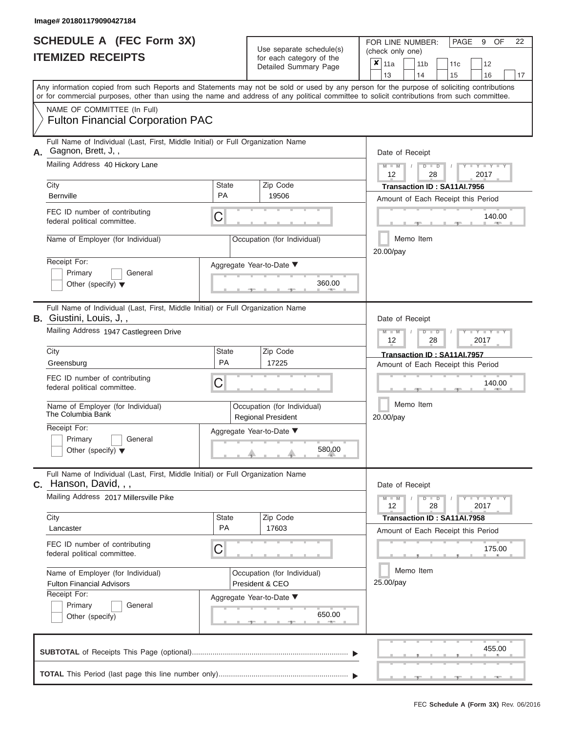|                          | <b>SCHEDULE A (FEC Form 3X)</b> |
|--------------------------|---------------------------------|
| <b>ITEMIZED RECEIPTS</b> |                                 |

Use separate schedule(s) (check only one)<br>for each category of the  $\begin{array}{|c|c|c|c|c|}\n\hline\n\text{Initial Summary goes} & & \text{with } & \text{with } & \text{with } & \text{with } & \text{with } & \text{with } & \text{with } & \text{with } & \text{with } & \text{with } & \text{with } & \text{with } & \text{with } & \text{with } & \text{with } & \text{with } & \text{with } & \text{with } & \text{with } & \text{with } & \text$ 

FOR LINE NUMBER:

PAGE 9 OF 22

|    | <u>IIEMIZED RECEIPIS</u>                                                                                                                                                                                                                                                                | for each category of the<br>Detailed Summary Page        |                                    |                                                |                                                                   |           | 11a |                                                                             | 11 <sub>b</sub><br>14          | 11c<br>15                                                         | 12<br>16          | 17 |  |  |  |  |  |  |  |  |  |
|----|-----------------------------------------------------------------------------------------------------------------------------------------------------------------------------------------------------------------------------------------------------------------------------------------|----------------------------------------------------------|------------------------------------|------------------------------------------------|-------------------------------------------------------------------|-----------|-----|-----------------------------------------------------------------------------|--------------------------------|-------------------------------------------------------------------|-------------------|----|--|--|--|--|--|--|--|--|--|
|    | Any information copied from such Reports and Statements may not be sold or used by any person for the purpose of soliciting contributions<br>or for commercial purposes, other than using the name and address of any political committee to solicit contributions from such committee. |                                                          |                                    | 13                                             |                                                                   |           |     |                                                                             |                                |                                                                   |                   |    |  |  |  |  |  |  |  |  |  |
|    | NAME OF COMMITTEE (In Full)<br><b>Fulton Financial Corporation PAC</b>                                                                                                                                                                                                                  |                                                          |                                    |                                                |                                                                   |           |     |                                                                             |                                |                                                                   |                   |    |  |  |  |  |  |  |  |  |  |
| А. | Full Name of Individual (Last, First, Middle Initial) or Full Organization Name<br>Gagnon, Brett, J,,                                                                                                                                                                                   |                                                          |                                    |                                                |                                                                   |           |     |                                                                             | Date of Receipt                |                                                                   |                   |    |  |  |  |  |  |  |  |  |  |
|    | Mailing Address 40 Hickory Lane                                                                                                                                                                                                                                                         |                                                          |                                    |                                                |                                                                   | 12        |     |                                                                             | 28                             |                                                                   | $Y - Y$<br>2017   |    |  |  |  |  |  |  |  |  |  |
|    | City<br>Bernville                                                                                                                                                                                                                                                                       | <b>State</b><br><b>PA</b>                                |                                    | Zip Code<br>19506                              | Transaction ID: SA11AI.7956<br>Amount of Each Receipt this Period |           |     |                                                                             |                                |                                                                   |                   |    |  |  |  |  |  |  |  |  |  |
|    | FEC ID number of contributing<br>federal political committee.                                                                                                                                                                                                                           | C                                                        |                                    | 140.00                                         |                                                                   |           |     |                                                                             |                                |                                                                   |                   |    |  |  |  |  |  |  |  |  |  |
|    | Name of Employer (for Individual)                                                                                                                                                                                                                                                       |                                                          |                                    | Occupation (for Individual)                    | Memo Item<br>20.00/pay                                            |           |     |                                                                             |                                |                                                                   |                   |    |  |  |  |  |  |  |  |  |  |
|    | Receipt For:<br>Primary<br>General<br>Other (specify) $\blacktriangledown$                                                                                                                                                                                                              |                                                          |                                    | Aggregate Year-to-Date ▼<br>360.00             |                                                                   |           |     |                                                                             |                                |                                                                   |                   |    |  |  |  |  |  |  |  |  |  |
|    | Full Name of Individual (Last, First, Middle Initial) or Full Organization Name<br><b>B.</b> Giustini, Louis, J,,                                                                                                                                                                       |                                                          |                                    |                                                |                                                                   |           |     |                                                                             | Date of Receipt                |                                                                   |                   |    |  |  |  |  |  |  |  |  |  |
|    | Mailing Address 1947 Castlegreen Drive                                                                                                                                                                                                                                                  |                                                          |                                    |                                                |                                                                   |           |     | Y<br>T<br>$\overline{D}$<br>2017<br>12<br>28<br>Transaction ID: SA11AI.7957 |                                |                                                                   |                   |    |  |  |  |  |  |  |  |  |  |
|    | City<br>Greensburg                                                                                                                                                                                                                                                                      | <b>State</b><br><b>PA</b>                                |                                    |                                                |                                                                   |           |     | Amount of Each Receipt this Period                                          |                                |                                                                   |                   |    |  |  |  |  |  |  |  |  |  |
|    | FEC ID number of contributing<br>federal political committee.                                                                                                                                                                                                                           | С                                                        |                                    |                                                |                                                                   |           |     |                                                                             | 140.00                         |                                                                   |                   |    |  |  |  |  |  |  |  |  |  |
|    | Name of Employer (for Individual)<br>The Columbia Bank                                                                                                                                                                                                                                  | Occupation (for Individual)<br><b>Regional President</b> | Memo Item<br>20.00/pay             |                                                |                                                                   |           |     |                                                                             |                                |                                                                   |                   |    |  |  |  |  |  |  |  |  |  |
|    | Receipt For:<br>Primary<br>General<br>Other (specify) $\blacktriangledown$                                                                                                                                                                                                              |                                                          | Aggregate Year-to-Date ▼<br>580.00 |                                                |                                                                   |           |     |                                                                             |                                |                                                                   |                   |    |  |  |  |  |  |  |  |  |  |
|    | Full Name of Individual (Last, First, Middle Initial) or Full Organization Name<br><b>C.</b> Hanson, David, , ,                                                                                                                                                                         |                                                          |                                    |                                                |                                                                   |           |     |                                                                             | Date of Receipt                |                                                                   |                   |    |  |  |  |  |  |  |  |  |  |
|    | Mailing Address 2017 Millersville Pike                                                                                                                                                                                                                                                  |                                                          |                                    |                                                |                                                                   |           | 12  |                                                                             | $\overline{D}$<br>$\Box$<br>28 |                                                                   | $Y = Y =$<br>2017 |    |  |  |  |  |  |  |  |  |  |
|    | City<br>Lancaster                                                                                                                                                                                                                                                                       | State<br>PA                                              |                                    | Zip Code<br>17603                              |                                                                   |           |     |                                                                             |                                | Transaction ID: SA11AI.7958<br>Amount of Each Receipt this Period |                   |    |  |  |  |  |  |  |  |  |  |
|    | FEC ID number of contributing<br>federal political committee.                                                                                                                                                                                                                           | С                                                        |                                    |                                                |                                                                   |           |     |                                                                             |                                |                                                                   | 175.00            |    |  |  |  |  |  |  |  |  |  |
|    | Name of Employer (for Individual)<br><b>Fulton Financial Advisors</b>                                                                                                                                                                                                                   |                                                          |                                    | Occupation (for Individual)<br>President & CEO |                                                                   | 25.00/pay |     |                                                                             | Memo Item                      |                                                                   |                   |    |  |  |  |  |  |  |  |  |  |
|    | Receipt For:<br>Primary<br>General<br>Other (specify)                                                                                                                                                                                                                                   | Aggregate Year-to-Date ▼<br>650.00                       |                                    |                                                |                                                                   |           |     |                                                                             |                                |                                                                   |                   |    |  |  |  |  |  |  |  |  |  |
|    |                                                                                                                                                                                                                                                                                         |                                                          |                                    |                                                |                                                                   |           |     |                                                                             |                                |                                                                   | 455.00            |    |  |  |  |  |  |  |  |  |  |
|    |                                                                                                                                                                                                                                                                                         |                                                          |                                    |                                                |                                                                   |           |     |                                                                             |                                |                                                                   |                   |    |  |  |  |  |  |  |  |  |  |

FEC **Schedule A (Form 3X)** Rev. 06/2016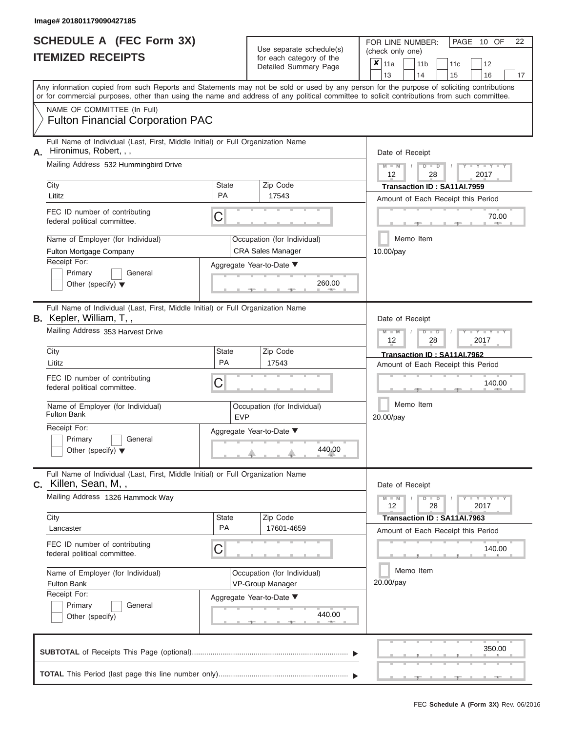| <b>SCHEDULE A (FEC Form 3X)</b> |  |
|---------------------------------|--|
| <b>ITEMIZED RECEIPTS</b>        |  |

FOR LINE NUMBER: PAGE<br>(check only one) Use separate schedule(s)<br>for each category of the<br> $\frac{|\mathbf{x}|}{|\mathbf{x}|}$  11a  $\frac{|\mathbf{x}|}{|\mathbf{x}|}$  11b

 $\overline{\mathbf{x}}$  11a

 $, \qquad$  350. ▲ ▲ ▲ , , . Aggregate Year-to-Date ▼  $\frac{260.01}{2}$ C C ▲ ▲ ▲ , , . , , .  $\frac{440.0}{2}$ C **M M / D D / Y Y Y Y M M / D D / Y Y Y Y M M / D D / Y Y Y Y**  $\uparrow$  , . . . . 440.0  $, -$  440. Any information copied from such Reports and Statements may not be sold or used by any person for the purpose of soliciting contributions or for commercial purposes, other than using the name and address of any political committee to solicit contributions from such committee. NAME OF COMMITTEE (In Full) **SUBTOTAL** of Receipts This Page (optional)............................................................................ Full Name of Individual (Last, First, Middle Initial) or Full Organization Name Mailing Address 532 Hummingbird Drive City City Code City State City State  $\sim$  2ip Code Receipt For: Primary **General** Other (specify) ▼ Amount of Each Receipt this Period **A.** Date of Receipt Name of Employer (for Individual) Occupation (for Individual) FEC ID number of contributing federal political committee. Full Name of Individual (Last, First, Middle Initial) or Full Organization Name Mailing Address 353 Harvest Drive City **State** Zip Code Receipt For: Primary **General** Other (specify) ▼ Amount of Each Receipt this Period **B.** Kepler, William, T, , Aggregate Year-to-Date ▼ Date of Receipt FEC ID number of contributing federal political committee. Full Name of Individual (Last, First, Middle Initial) or Full Organization Name Mailing Address 1326 Hammock Way City City City State 2 | State Zip Code Receipt For: Primary **General** Other (specify) Amount of Each Receipt this Period **C.** Killen, Sean, M, , Aggregate Year-to-Date ▼ Date of Receipt FEC ID number of contributing federal political committee. Detailed Summary Page  $\begin{array}{|c|c|c|c|c|c|}\n\hline\n11a & 11b & 11c & 12 \ \hline\n13 & 14 & 15 & 16\n\end{array}$ |13 | |14 | |15 | |16 | |17 Memo Item Memo Item Memo Item Name of Employer (for Individual)  $\vert$  Occupation (for Individual) Name of Employer (for Individual) <br> Qccupation (for Individual) Fulton Financial Corporation PAC Hironimus, Robert, , , 12 | 28 | 2017 City **City** City **City** City **PA** 17543 **Transaction ID : SA11AI.7959**<br>
Lititz Lititz **PA** 17543 **PA** 17543 **Amount of Each Beceipt this Pe** Fulton Mortgage Company **CRA** Sales Manager 10.00/pay 260.00 12 | 28 | 2017 Lity<br>Lititz **PA** 17543 **PA** 17543 **Amount of Each Beceipt this Property** Fulton Bank EVP 440.00 20.00/pay 140.00  $12 \parallel 28 \parallel 2017$ Lancaster PA 17601-4659 **Transaction ID : SA11AI.7963** Fulton Bank **VP-Group Manager** 20.00/pay 440.00 140.00 350.00

|  |  |  |  | _________ |  |  |
|--|--|--|--|-----------|--|--|
|  |  |  |  |           |  |  |

10 OF 22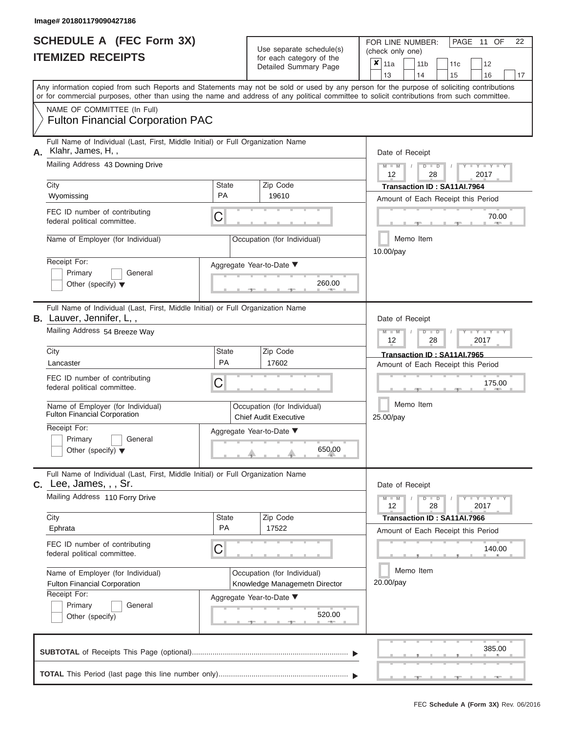|                          | <b>SCHEDULE A (FEC Form 3X)</b> |
|--------------------------|---------------------------------|
| <b>ITEMIZED RECEIPTS</b> |                                 |

FOR LINE NUMBER:<br>(check only one)

PAGE 11 OF 22

|    |                                                                                                                                                                                                                                                                                         |                    | $0.0011$ $0.000901$ $y$ $0.010$<br>Detailed Summary Page     | ×                                      | 11a<br>13                        |  | 11 <sub>b</sub><br>14 | 11 <sub>c</sub><br>15                                             | 12<br>16            | 17 |  |  |  |  |  |  |  |
|----|-----------------------------------------------------------------------------------------------------------------------------------------------------------------------------------------------------------------------------------------------------------------------------------------|--------------------|--------------------------------------------------------------|----------------------------------------|----------------------------------|--|-----------------------|-------------------------------------------------------------------|---------------------|----|--|--|--|--|--|--|--|
|    | Any information copied from such Reports and Statements may not be sold or used by any person for the purpose of soliciting contributions<br>or for commercial purposes, other than using the name and address of any political committee to solicit contributions from such committee. |                    |                                                              |                                        |                                  |  |                       |                                                                   |                     |    |  |  |  |  |  |  |  |
|    | NAME OF COMMITTEE (In Full)<br><b>Fulton Financial Corporation PAC</b>                                                                                                                                                                                                                  |                    |                                                              |                                        |                                  |  |                       |                                                                   |                     |    |  |  |  |  |  |  |  |
| А. | Full Name of Individual (Last, First, Middle Initial) or Full Organization Name<br>Klahr, James, H,,                                                                                                                                                                                    |                    |                                                              |                                        | Date of Receipt                  |  |                       |                                                                   |                     |    |  |  |  |  |  |  |  |
|    | Mailing Address 43 Downing Drive                                                                                                                                                                                                                                                        |                    |                                                              |                                        | $M - M$<br>12                    |  | $D$ $D$<br>28         |                                                                   | $Y - Y - I$<br>2017 |    |  |  |  |  |  |  |  |
|    | City<br>Wyomissing                                                                                                                                                                                                                                                                      | <b>State</b><br>PA | Zip Code<br>19610                                            |                                        |                                  |  |                       | Transaction ID: SA11AI.7964<br>Amount of Each Receipt this Period |                     |    |  |  |  |  |  |  |  |
|    | FEC ID number of contributing<br>federal political committee.                                                                                                                                                                                                                           | C                  |                                                              | 70.00                                  |                                  |  |                       |                                                                   |                     |    |  |  |  |  |  |  |  |
|    | Name of Employer (for Individual)                                                                                                                                                                                                                                                       |                    | Occupation (for Individual)                                  | Memo Item<br>10.00/pay                 |                                  |  |                       |                                                                   |                     |    |  |  |  |  |  |  |  |
|    | Receipt For:<br>Primary<br>General<br>Other (specify) $\blacktriangledown$                                                                                                                                                                                                              |                    | Aggregate Year-to-Date ▼<br>260.00                           |                                        |                                  |  |                       |                                                                   |                     |    |  |  |  |  |  |  |  |
|    | Full Name of Individual (Last, First, Middle Initial) or Full Organization Name<br>B. Lauver, Jennifer, L,,                                                                                                                                                                             |                    |                                                              |                                        | Date of Receipt                  |  |                       |                                                                   |                     |    |  |  |  |  |  |  |  |
|    | Mailing Address 54 Breeze Way                                                                                                                                                                                                                                                           |                    |                                                              | $M - M$<br>$D$ $D$<br>2017<br>12<br>28 |                                  |  |                       |                                                                   |                     |    |  |  |  |  |  |  |  |
|    | City<br>Lancaster                                                                                                                                                                                                                                                                       | <b>State</b><br>PA | Zip Code<br>17602                                            |                                        |                                  |  |                       | Transaction ID: SA11AI.7965<br>Amount of Each Receipt this Period |                     |    |  |  |  |  |  |  |  |
|    | FEC ID number of contributing<br>federal political committee.                                                                                                                                                                                                                           | С                  |                                                              |                                        | 175.00<br>Memo Item<br>25.00/pay |  |                       |                                                                   |                     |    |  |  |  |  |  |  |  |
|    | Name of Employer (for Individual)<br><b>Fulton Financial Corporation</b>                                                                                                                                                                                                                |                    | Occupation (for Individual)<br><b>Chief Audit Executive</b>  |                                        |                                  |  |                       |                                                                   |                     |    |  |  |  |  |  |  |  |
|    | Receipt For:<br>Primary<br>General<br>Other (specify) $\blacktriangledown$                                                                                                                                                                                                              |                    | Aggregate Year-to-Date ▼<br>650.00                           |                                        |                                  |  |                       |                                                                   |                     |    |  |  |  |  |  |  |  |
| C. | Full Name of Individual (Last, First, Middle Initial) or Full Organization Name<br>Lee, James, , , Sr.                                                                                                                                                                                  |                    |                                                              |                                        | Date of Receipt                  |  |                       |                                                                   |                     |    |  |  |  |  |  |  |  |
|    | Mailing Address 110 Forry Drive                                                                                                                                                                                                                                                         |                    |                                                              |                                        | $M - M$<br>12                    |  | $\blacksquare$<br>28  |                                                                   | Y TY<br>2017        |    |  |  |  |  |  |  |  |
|    | City<br>Ephrata                                                                                                                                                                                                                                                                         | <b>State</b><br>PA | Zip Code<br>17522                                            |                                        |                                  |  |                       | Transaction ID: SA11AI.7966<br>Amount of Each Receipt this Period |                     |    |  |  |  |  |  |  |  |
|    | FEC ID number of contributing<br>federal political committee.                                                                                                                                                                                                                           | C                  |                                                              |                                        |                                  |  |                       |                                                                   | 140.00              |    |  |  |  |  |  |  |  |
|    | Name of Employer (for Individual)<br>Fulton Financial Corporation<br>Receipt For:                                                                                                                                                                                                       |                    | Occupation (for Individual)<br>Knowledge Managemetn Director |                                        | 20.00/pay                        |  | Memo Item             |                                                                   |                     |    |  |  |  |  |  |  |  |
|    | Primary<br>General<br>Other (specify)                                                                                                                                                                                                                                                   |                    | Aggregate Year-to-Date ▼<br>520.00                           |                                        |                                  |  |                       |                                                                   |                     |    |  |  |  |  |  |  |  |
|    |                                                                                                                                                                                                                                                                                         |                    |                                                              |                                        |                                  |  |                       |                                                                   | 385.00              |    |  |  |  |  |  |  |  |
|    |                                                                                                                                                                                                                                                                                         |                    |                                                              |                                        |                                  |  |                       |                                                                   |                     |    |  |  |  |  |  |  |  |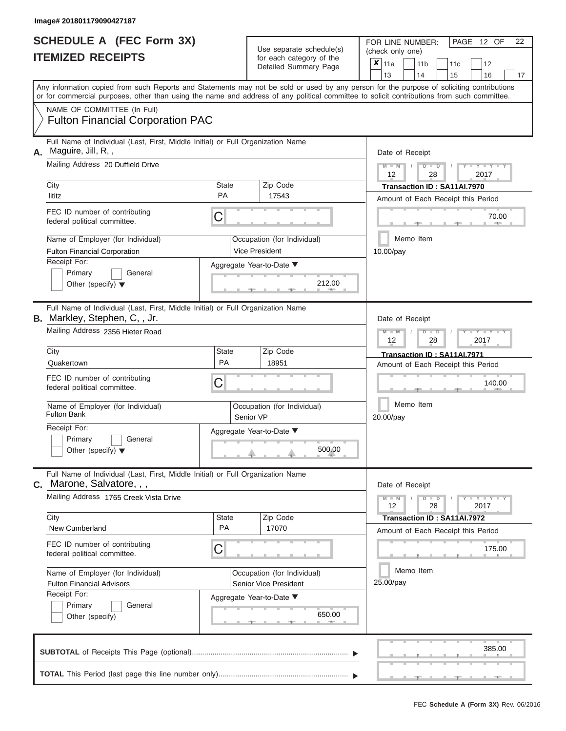|                          | <b>SCHEDULE A (FEC Form 3X)</b> |
|--------------------------|---------------------------------|
| <b>ITEMIZED RECEIPTS</b> |                                 |

FOR LINE NUMBER:<br>(check only one)

PAGE 12 OF 22

|    |                                                                                                                                                                                                                                                                                         |                                          | $0.0011$ $0.000901$ $y$ $0.010$<br>Detailed Summary Page               |  |                        |                 |               | 11 <sub>b</sub><br>14 | 11 <sub>c</sub><br>15                                             | 12<br>16     | 17 |  |  |  |  |  |  |  |  |  |  |
|----|-----------------------------------------------------------------------------------------------------------------------------------------------------------------------------------------------------------------------------------------------------------------------------------------|------------------------------------------|------------------------------------------------------------------------|--|------------------------|-----------------|---------------|-----------------------|-------------------------------------------------------------------|--------------|----|--|--|--|--|--|--|--|--|--|--|
|    | Any information copied from such Reports and Statements may not be sold or used by any person for the purpose of soliciting contributions<br>or for commercial purposes, other than using the name and address of any political committee to solicit contributions from such committee. |                                          |                                                                        |  |                        | 13              |               |                       |                                                                   |              |    |  |  |  |  |  |  |  |  |  |  |
|    | NAME OF COMMITTEE (In Full)<br><b>Fulton Financial Corporation PAC</b>                                                                                                                                                                                                                  |                                          |                                                                        |  |                        |                 |               |                       |                                                                   |              |    |  |  |  |  |  |  |  |  |  |  |
| А. | Full Name of Individual (Last, First, Middle Initial) or Full Organization Name<br>Maguire, Jill, R,,<br>Mailing Address 20 Duffield Drive                                                                                                                                              |                                          |                                                                        |  |                        | Date of Receipt |               |                       |                                                                   |              |    |  |  |  |  |  |  |  |  |  |  |
|    |                                                                                                                                                                                                                                                                                         |                                          |                                                                        |  | $M - M$<br>12          |                 | $D$ $D$<br>28 |                       | $Y - Y - I$<br>2017                                               |              |    |  |  |  |  |  |  |  |  |  |  |
|    | City<br>lititz                                                                                                                                                                                                                                                                          | <b>State</b><br>PA                       | Zip Code<br>17543                                                      |  |                        |                 |               |                       | Transaction ID: SA11AI.7970<br>Amount of Each Receipt this Period |              |    |  |  |  |  |  |  |  |  |  |  |
|    | FEC ID number of contributing<br>federal political committee.                                                                                                                                                                                                                           | C                                        |                                                                        |  |                        |                 |               |                       | 70.00                                                             |              |    |  |  |  |  |  |  |  |  |  |  |
|    | Name of Employer (for Individual)<br><b>Fulton Financial Corporation</b>                                                                                                                                                                                                                |                                          | Occupation (for Individual)<br>Vice President                          |  | Memo Item<br>10.00/pay |                 |               |                       |                                                                   |              |    |  |  |  |  |  |  |  |  |  |  |
|    | Receipt For:<br>Primary<br>General<br>Other (specify) $\blacktriangledown$                                                                                                                                                                                                              |                                          | Aggregate Year-to-Date ▼<br>212.00                                     |  |                        |                 |               |                       |                                                                   |              |    |  |  |  |  |  |  |  |  |  |  |
|    | Full Name of Individual (Last, First, Middle Initial) or Full Organization Name<br>B. Markley, Stephen, C,, Jr.                                                                                                                                                                         |                                          |                                                                        |  |                        | Date of Receipt |               |                       |                                                                   |              |    |  |  |  |  |  |  |  |  |  |  |
|    | Mailing Address 2356 Hieter Road                                                                                                                                                                                                                                                        |                                          |                                                                        |  |                        | $M - M$<br>12   |               | $D$ $D$<br>28         |                                                                   | 2017         |    |  |  |  |  |  |  |  |  |  |  |
|    | City<br>Quakertown                                                                                                                                                                                                                                                                      | <b>State</b><br>PA                       | Zip Code<br>18951                                                      |  |                        |                 |               |                       | Transaction ID: SA11AI.7971                                       |              |    |  |  |  |  |  |  |  |  |  |  |
|    | FEC ID number of contributing<br>federal political committee.                                                                                                                                                                                                                           | С                                        | Amount of Each Receipt this Period<br>140.00<br>Memo Item<br>20.00/pay |  |                        |                 |               |                       |                                                                   |              |    |  |  |  |  |  |  |  |  |  |  |
|    | Name of Employer (for Individual)<br><b>Fulton Bank</b>                                                                                                                                                                                                                                 | Occupation (for Individual)<br>Senior VP |                                                                        |  |                        |                 |               |                       |                                                                   |              |    |  |  |  |  |  |  |  |  |  |  |
|    | Receipt For:<br>Primary<br>General<br>Other (specify) $\blacktriangledown$                                                                                                                                                                                                              | Aggregate Year-to-Date ▼                 |                                                                        |  |                        |                 |               |                       |                                                                   |              |    |  |  |  |  |  |  |  |  |  |  |
| C. | Full Name of Individual (Last, First, Middle Initial) or Full Organization Name<br>Marone, Salvatore, , ,                                                                                                                                                                               |                                          |                                                                        |  |                        | Date of Receipt |               |                       |                                                                   |              |    |  |  |  |  |  |  |  |  |  |  |
|    | Mailing Address 1765 Creek Vista Drive                                                                                                                                                                                                                                                  |                                          |                                                                        |  |                        | $M - M$<br>12   |               | $D$ $D$<br>28         |                                                                   | Y TY<br>2017 |    |  |  |  |  |  |  |  |  |  |  |
|    | City<br>New Cumberland                                                                                                                                                                                                                                                                  | <b>State</b><br>PA                       | Zip Code<br>17070                                                      |  |                        |                 |               |                       | Transaction ID: SA11AI.7972<br>Amount of Each Receipt this Period |              |    |  |  |  |  |  |  |  |  |  |  |
|    | FEC ID number of contributing<br>federal political committee.                                                                                                                                                                                                                           | С                                        |                                                                        |  |                        |                 |               |                       |                                                                   | 175.00       |    |  |  |  |  |  |  |  |  |  |  |
|    | Name of Employer (for Individual)<br><b>Fulton Financial Advisors</b><br>Receipt For:                                                                                                                                                                                                   |                                          | Occupation (for Individual)<br>Senior Vice President                   |  |                        | 25.00/pay       |               | Memo Item             |                                                                   |              |    |  |  |  |  |  |  |  |  |  |  |
|    | Primary<br>General<br>Other (specify)                                                                                                                                                                                                                                                   |                                          | Aggregate Year-to-Date ▼<br>650.00<br>-9-                              |  |                        |                 |               |                       |                                                                   |              |    |  |  |  |  |  |  |  |  |  |  |
|    |                                                                                                                                                                                                                                                                                         |                                          |                                                                        |  |                        |                 |               |                       |                                                                   | 385.00       |    |  |  |  |  |  |  |  |  |  |  |
|    |                                                                                                                                                                                                                                                                                         |                                          |                                                                        |  |                        |                 |               |                       |                                                                   |              |    |  |  |  |  |  |  |  |  |  |  |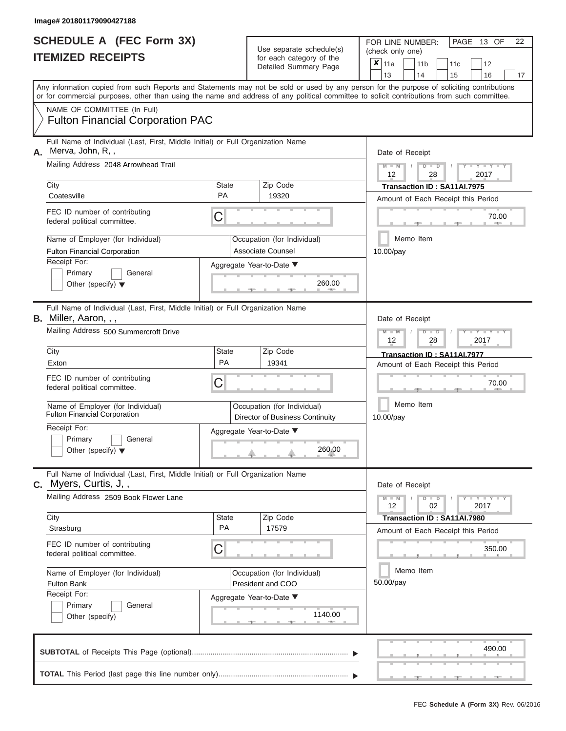|                          | <b>SCHEDULE A (FEC Form 3X)</b> |
|--------------------------|---------------------------------|
| <b>ITEMIZED RECEIPTS</b> |                                 |

Use separate schedule(s)<br>for each category of the

FOR LINE NUMBER:<br>(check only one)

PAGE 13 OF 22

|    |                                                                                                                                                   |                    | $\frac{1}{2}$<br>Detailed Summary Page                         | ×                                                                                                                                                                                                                                                                                       | 11a<br>13                  |  | 11 <sub>b</sub><br>14 | 11 <sub>c</sub><br>15       | 12<br>16                           | 17 |  |  |  |  |  |  |
|----|---------------------------------------------------------------------------------------------------------------------------------------------------|--------------------|----------------------------------------------------------------|-----------------------------------------------------------------------------------------------------------------------------------------------------------------------------------------------------------------------------------------------------------------------------------------|----------------------------|--|-----------------------|-----------------------------|------------------------------------|----|--|--|--|--|--|--|
|    |                                                                                                                                                   |                    |                                                                | Any information copied from such Reports and Statements may not be sold or used by any person for the purpose of soliciting contributions<br>or for commercial purposes, other than using the name and address of any political committee to solicit contributions from such committee. |                            |  |                       |                             |                                    |    |  |  |  |  |  |  |
|    | NAME OF COMMITTEE (In Full)<br><b>Fulton Financial Corporation PAC</b>                                                                            |                    |                                                                |                                                                                                                                                                                                                                                                                         |                            |  |                       |                             |                                    |    |  |  |  |  |  |  |
| Α. | Full Name of Individual (Last, First, Middle Initial) or Full Organization Name<br>Merva, John, R,,<br>Mailing Address 2048 Arrowhead Trail       |                    |                                                                |                                                                                                                                                                                                                                                                                         | Date of Receipt<br>$M - M$ |  | $D$ $D$               |                             |                                    |    |  |  |  |  |  |  |
|    | City                                                                                                                                              | <b>State</b>       | Zip Code                                                       |                                                                                                                                                                                                                                                                                         | 12                         |  | 28                    | Transaction ID: SA11AI.7975 | 2017                               |    |  |  |  |  |  |  |
|    | Coatesville                                                                                                                                       | PA                 | 19320                                                          |                                                                                                                                                                                                                                                                                         |                            |  |                       |                             | Amount of Each Receipt this Period |    |  |  |  |  |  |  |
|    | FEC ID number of contributing<br>federal political committee.                                                                                     | С                  |                                                                | 70.00                                                                                                                                                                                                                                                                                   |                            |  |                       |                             |                                    |    |  |  |  |  |  |  |
|    | Name of Employer (for Individual)<br><b>Fulton Financial Corporation</b>                                                                          |                    | Occupation (for Individual)<br>Associate Counsel               |                                                                                                                                                                                                                                                                                         |                            |  | Memo Item             |                             |                                    |    |  |  |  |  |  |  |
|    | Receipt For:<br>Primary<br>General<br>Other (specify) $\blacktriangledown$                                                                        |                    | Aggregate Year-to-Date ▼<br>260.00<br>一                        |                                                                                                                                                                                                                                                                                         | 10.00/pay                  |  |                       |                             |                                    |    |  |  |  |  |  |  |
|    | Full Name of Individual (Last, First, Middle Initial) or Full Organization Name<br>B. Miller, Aaron, , ,<br>Mailing Address 500 Summercroft Drive |                    |                                                                |                                                                                                                                                                                                                                                                                         | Date of Receipt<br>$M - M$ |  | $\Box$                |                             |                                    |    |  |  |  |  |  |  |
|    |                                                                                                                                                   |                    |                                                                |                                                                                                                                                                                                                                                                                         | 12                         |  | 28                    |                             | 2017                               |    |  |  |  |  |  |  |
|    | City<br>Exton                                                                                                                                     | <b>State</b><br>PA | Zip Code<br>19341                                              |                                                                                                                                                                                                                                                                                         |                            |  |                       | Transaction ID: SA11AI.7977 | Amount of Each Receipt this Period |    |  |  |  |  |  |  |
|    | FEC ID number of contributing<br>federal political committee.                                                                                     | С                  |                                                                |                                                                                                                                                                                                                                                                                         | 70.00                      |  |                       |                             |                                    |    |  |  |  |  |  |  |
|    | Name of Employer (for Individual)<br><b>Fulton Financial Corporation</b>                                                                          |                    | Occupation (for Individual)<br>Director of Business Continuity |                                                                                                                                                                                                                                                                                         | Memo Item<br>10.00/pay     |  |                       |                             |                                    |    |  |  |  |  |  |  |
|    | Receipt For:<br>Primary<br>General<br>Other (specify) $\blacktriangledown$                                                                        |                    | Aggregate Year-to-Date ▼<br>260.00                             |                                                                                                                                                                                                                                                                                         |                            |  |                       |                             |                                    |    |  |  |  |  |  |  |
|    | Full Name of Individual (Last, First, Middle Initial) or Full Organization Name<br>C. Myers, Curtis, J,,                                          |                    |                                                                |                                                                                                                                                                                                                                                                                         | Date of Receipt            |  |                       |                             |                                    |    |  |  |  |  |  |  |
|    | Mailing Address 2509 Book Flower Lane                                                                                                             |                    |                                                                |                                                                                                                                                                                                                                                                                         | $M - M$<br>12              |  | $D$ $D$<br>02         |                             | $Y = Y + Y + T$<br>2017            |    |  |  |  |  |  |  |
|    | City<br>Strasburg                                                                                                                                 | State<br>PA        | Zip Code<br>17579                                              |                                                                                                                                                                                                                                                                                         |                            |  |                       | Transaction ID: SA11AI.7980 | Amount of Each Receipt this Period |    |  |  |  |  |  |  |
|    | FEC ID number of contributing<br>federal political committee.                                                                                     | С                  |                                                                |                                                                                                                                                                                                                                                                                         |                            |  |                       |                             | 350.00                             |    |  |  |  |  |  |  |
|    | Name of Employer (for Individual)<br><b>Fulton Bank</b>                                                                                           |                    | Occupation (for Individual)<br>President and COO               |                                                                                                                                                                                                                                                                                         | 50.00/pay                  |  | Memo Item             |                             |                                    |    |  |  |  |  |  |  |
|    | Receipt For:<br>Primary<br>General<br>Other (specify)                                                                                             |                    | Aggregate Year-to-Date ▼<br>1140.00                            |                                                                                                                                                                                                                                                                                         |                            |  |                       |                             |                                    |    |  |  |  |  |  |  |
|    |                                                                                                                                                   |                    |                                                                |                                                                                                                                                                                                                                                                                         |                            |  |                       |                             | 490.00                             |    |  |  |  |  |  |  |
|    |                                                                                                                                                   |                    |                                                                |                                                                                                                                                                                                                                                                                         |                            |  |                       |                             |                                    |    |  |  |  |  |  |  |

 ▲ ▲ ▲ , , .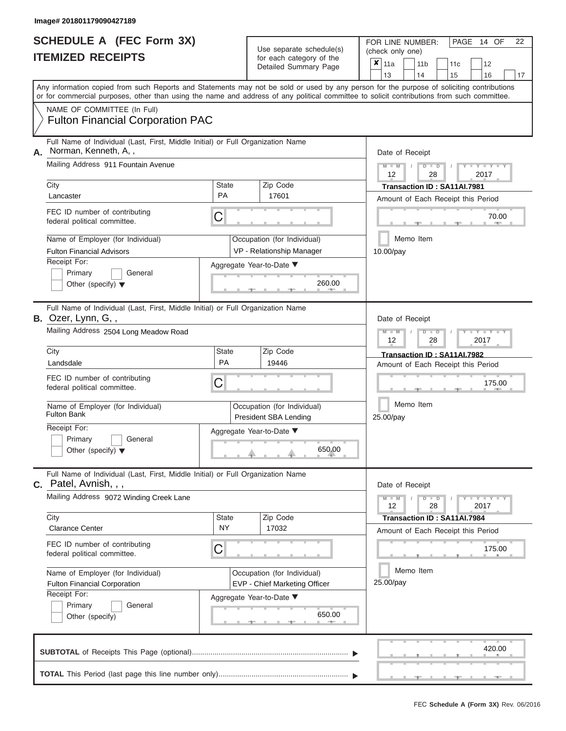|                          | <b>SCHEDULE A (FEC Form 3X)</b> |
|--------------------------|---------------------------------|
| <b>ITEMIZED RECEIPTS</b> |                                 |

Use separate schedule(s) (check only one)<br>for each category of the  $\begin{array}{|c|c|c|c|c|}\n\hline\n\text{Initial Summary goes} & & \text{with } & \text{with } & \text{with } & \text{with } & \text{with } & \text{with } & \text{with } & \text{with } & \text{with } & \text{with } & \text{with } & \text{with } & \text{with } & \text{with } & \text{with } & \text{with } & \text{with } & \text{with } & \text{with } & \text{with } & \text$ 

FOR LINE NUMBER:

PAGE 14 OF 22

 $\Box$ 

 $\Box$  $\overline{\phantom{0}}$ 

|    |                                                                                                                                            |              |                                                      | Detailed Summary Page                                        | $\boldsymbol{x}$                   | 11a<br>13       |        | 11 <sub>b</sub><br>14 | 11c<br>15                                                         |     | 12<br>16        | 17 <sup>2</sup> |  |  |  |  |
|----|--------------------------------------------------------------------------------------------------------------------------------------------|--------------|------------------------------------------------------|--------------------------------------------------------------|------------------------------------|-----------------|--------|-----------------------|-------------------------------------------------------------------|-----|-----------------|-----------------|--|--|--|--|
|    | Any information copied from such Reports and Statements may not be sold or used by any person for the purpose of soliciting contributions  |              |                                                      |                                                              |                                    |                 |        |                       |                                                                   |     |                 |                 |  |  |  |  |
|    | or for commercial purposes, other than using the name and address of any political committee to solicit contributions from such committee. |              |                                                      |                                                              |                                    |                 |        |                       |                                                                   |     |                 |                 |  |  |  |  |
|    | NAME OF COMMITTEE (In Full)<br><b>Fulton Financial Corporation PAC</b>                                                                     |              |                                                      |                                                              |                                    |                 |        |                       |                                                                   |     |                 |                 |  |  |  |  |
| Α. | Full Name of Individual (Last, First, Middle Initial) or Full Organization Name<br>Norman, Kenneth, A,,                                    |              |                                                      |                                                              |                                    | Date of Receipt |        |                       |                                                                   |     |                 |                 |  |  |  |  |
|    | Mailing Address 911 Fountain Avenue                                                                                                        |              |                                                      |                                                              |                                    | 12              |        | $D$ $\Box$ $D$<br>28  |                                                                   |     | $Y - Y$<br>2017 |                 |  |  |  |  |
|    | City                                                                                                                                       | <b>State</b> |                                                      | Zip Code                                                     |                                    |                 |        |                       | Transaction ID: SA11AI.7981                                       |     |                 |                 |  |  |  |  |
|    | Lancaster                                                                                                                                  | PA           |                                                      | 17601                                                        | Amount of Each Receipt this Period |                 |        |                       |                                                                   |     |                 |                 |  |  |  |  |
|    | FEC ID number of contributing<br>federal political committee.                                                                              | С            |                                                      |                                                              | 70.00<br><b>AND</b>                |                 |        |                       |                                                                   |     |                 |                 |  |  |  |  |
|    | Name of Employer (for Individual)                                                                                                          |              |                                                      | Occupation (for Individual)                                  |                                    |                 |        | Memo Item             |                                                                   |     |                 |                 |  |  |  |  |
|    | <b>Fulton Financial Advisors</b>                                                                                                           |              |                                                      | VP - Relationship Manager                                    |                                    | 10.00/pay       |        |                       |                                                                   |     |                 |                 |  |  |  |  |
|    | Receipt For:<br>General                                                                                                                    |              |                                                      | Aggregate Year-to-Date ▼                                     |                                    |                 |        |                       |                                                                   |     |                 |                 |  |  |  |  |
|    | Primary<br>Other (specify) $\blacktriangledown$                                                                                            |              |                                                      | 260.00                                                       |                                    |                 |        |                       |                                                                   |     |                 |                 |  |  |  |  |
|    |                                                                                                                                            |              |                                                      |                                                              |                                    |                 |        |                       |                                                                   |     |                 |                 |  |  |  |  |
|    | Full Name of Individual (Last, First, Middle Initial) or Full Organization Name                                                            |              |                                                      |                                                              |                                    |                 |        |                       |                                                                   |     |                 |                 |  |  |  |  |
|    | $B.$ Ozer, Lynn, G, ,                                                                                                                      |              |                                                      |                                                              |                                    | Date of Receipt |        |                       |                                                                   |     |                 |                 |  |  |  |  |
|    | Mailing Address 2504 Long Meadow Road                                                                                                      |              |                                                      |                                                              |                                    | 12              |        | $D$ $D$               | 28                                                                |     | Y Y<br>2017     |                 |  |  |  |  |
|    | City<br>Landsdale                                                                                                                          | State<br>PA  |                                                      | Zip Code<br>19446                                            |                                    |                 |        |                       | Transaction ID: SA11AI.7982<br>Amount of Each Receipt this Period |     |                 |                 |  |  |  |  |
|    | FEC ID number of contributing                                                                                                              |              |                                                      |                                                              |                                    |                 |        |                       |                                                                   |     |                 |                 |  |  |  |  |
|    | federal political committee.                                                                                                               | С            |                                                      |                                                              |                                    |                 | 175.00 |                       |                                                                   |     |                 |                 |  |  |  |  |
|    | Name of Employer (for Individual)<br><b>Fulton Bank</b>                                                                                    |              | Occupation (for Individual)<br>President SBA Lending | Memo Item<br>25.00/pay                                       |                                    |                 |        |                       |                                                                   |     |                 |                 |  |  |  |  |
|    | Receipt For:                                                                                                                               |              |                                                      |                                                              |                                    |                 |        |                       |                                                                   |     |                 |                 |  |  |  |  |
|    | Primary<br>General                                                                                                                         |              |                                                      | Aggregate Year-to-Date ▼                                     |                                    |                 |        |                       |                                                                   |     |                 |                 |  |  |  |  |
|    | Other (specify) $\blacktriangledown$                                                                                                       |              | 650.00                                               |                                                              |                                    |                 |        |                       |                                                                   |     |                 |                 |  |  |  |  |
|    | Full Name of Individual (Last, First, Middle Initial) or Full Organization Name<br>C. Patel, Avnish, , ,                                   |              |                                                      |                                                              |                                    | Date of Receipt |        |                       |                                                                   |     |                 |                 |  |  |  |  |
|    | Mailing Address 9072 Winding Creek Lane                                                                                                    |              |                                                      |                                                              |                                    | $M - M$<br>12   |        | $D$ $D$               | 28                                                                | Y L | $Y = Y$<br>2017 |                 |  |  |  |  |
|    | City                                                                                                                                       | <b>State</b> |                                                      | Zip Code                                                     |                                    |                 |        |                       | Transaction ID: SA11AI.7984                                       |     |                 |                 |  |  |  |  |
|    | <b>Clarance Center</b>                                                                                                                     | <b>NY</b>    |                                                      | 17032                                                        |                                    |                 |        |                       | Amount of Each Receipt this Period                                |     |                 |                 |  |  |  |  |
|    | FEC ID number of contributing<br>federal political committee.                                                                              | С            |                                                      |                                                              |                                    |                 |        |                       |                                                                   |     | 175.00          |                 |  |  |  |  |
|    | Name of Employer (for Individual)<br>Fulton Financial Corporation                                                                          |              |                                                      | Occupation (for Individual)<br>EVP - Chief Marketing Officer | 25.00/pay                          |                 |        |                       |                                                                   |     |                 |                 |  |  |  |  |
|    | Receipt For:<br>Primary<br>General                                                                                                         |              |                                                      | Aggregate Year-to-Date ▼                                     |                                    |                 |        |                       |                                                                   |     |                 |                 |  |  |  |  |
|    | Other (specify)                                                                                                                            |              |                                                      | 650.00                                                       |                                    |                 |        |                       |                                                                   |     |                 |                 |  |  |  |  |
|    |                                                                                                                                            |              |                                                      | <b>AND</b>                                                   |                                    |                 |        |                       |                                                                   |     |                 |                 |  |  |  |  |
|    |                                                                                                                                            |              |                                                      |                                                              |                                    |                 |        |                       |                                                                   |     | 420.00          |                 |  |  |  |  |

|  |  |  |  | _________ |  |  |
|--|--|--|--|-----------|--|--|
|  |  |  |  |           |  |  |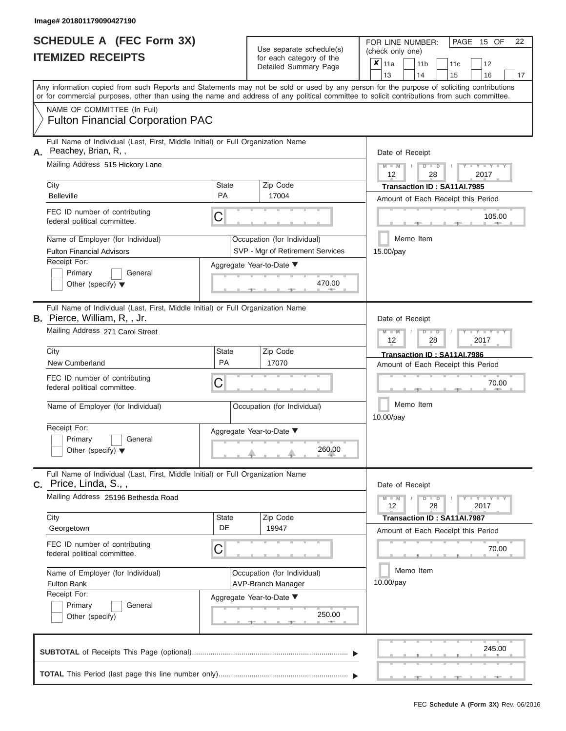| <b>SCHEDULE A (FEC Form 3X)</b> |  |  |
|---------------------------------|--|--|
| <b>ITEMIZED RECEIPTS</b>        |  |  |

FOR LINE NUMBER:<br>(check only one)

PAGE 15 OF 22

|    |                                                                                                                                                                                                                                                                                         |                                                   |                 | badii balogory of life<br>Detailed Summary Page |                                        | ×<br>11a                           |  | 11 <sub>b</sub> |                      | 11c                         |  | 12                   |    |  |  |  |
|----|-----------------------------------------------------------------------------------------------------------------------------------------------------------------------------------------------------------------------------------------------------------------------------------------|---------------------------------------------------|-----------------|-------------------------------------------------|----------------------------------------|------------------------------------|--|-----------------|----------------------|-----------------------------|--|----------------------|----|--|--|--|
|    |                                                                                                                                                                                                                                                                                         |                                                   |                 |                                                 |                                        | 13                                 |  | 14              |                      | 15                          |  | 16                   | 17 |  |  |  |
|    | Any information copied from such Reports and Statements may not be sold or used by any person for the purpose of soliciting contributions<br>or for commercial purposes, other than using the name and address of any political committee to solicit contributions from such committee. |                                                   |                 |                                                 |                                        |                                    |  |                 |                      |                             |  |                      |    |  |  |  |
|    | NAME OF COMMITTEE (In Full)                                                                                                                                                                                                                                                             |                                                   |                 |                                                 |                                        |                                    |  |                 |                      |                             |  |                      |    |  |  |  |
|    | <b>Fulton Financial Corporation PAC</b>                                                                                                                                                                                                                                                 |                                                   |                 |                                                 |                                        |                                    |  |                 |                      |                             |  |                      |    |  |  |  |
| А. | Full Name of Individual (Last, First, Middle Initial) or Full Organization Name<br>Peachey, Brian, R,,                                                                                                                                                                                  |                                                   |                 |                                                 |                                        | Date of Receipt                    |  |                 |                      |                             |  |                      |    |  |  |  |
|    | Mailing Address 515 Hickory Lane                                                                                                                                                                                                                                                        |                                                   |                 |                                                 | $M - M$<br>$D$ $D$<br>2017<br>12<br>28 |                                    |  |                 |                      |                             |  |                      |    |  |  |  |
|    | City                                                                                                                                                                                                                                                                                    | <b>State</b>                                      |                 | Zip Code                                        |                                        | Transaction ID: SA11AI.7985        |  |                 |                      |                             |  |                      |    |  |  |  |
|    | <b>Belleville</b>                                                                                                                                                                                                                                                                       | <b>PA</b>                                         |                 | 17004                                           |                                        | Amount of Each Receipt this Period |  |                 |                      |                             |  |                      |    |  |  |  |
|    | FEC ID number of contributing<br>federal political committee.                                                                                                                                                                                                                           | C                                                 |                 |                                                 | 105.00                                 |                                    |  |                 |                      |                             |  |                      |    |  |  |  |
|    | Name of Employer (for Individual)                                                                                                                                                                                                                                                       |                                                   |                 | Occupation (for Individual)                     | Memo Item                              |                                    |  |                 |                      |                             |  |                      |    |  |  |  |
|    | <b>Fulton Financial Advisors</b>                                                                                                                                                                                                                                                        |                                                   |                 | SVP - Mgr of Retirement Services                |                                        | 15.00/pay                          |  |                 |                      |                             |  |                      |    |  |  |  |
|    | Receipt For:                                                                                                                                                                                                                                                                            | Aggregate Year-to-Date ▼                          |                 |                                                 |                                        |                                    |  |                 |                      |                             |  |                      |    |  |  |  |
|    | Primary<br>General                                                                                                                                                                                                                                                                      |                                                   |                 |                                                 |                                        |                                    |  |                 |                      |                             |  |                      |    |  |  |  |
|    | Other (specify) $\blacktriangledown$                                                                                                                                                                                                                                                    |                                                   |                 | 470.00                                          |                                        |                                    |  |                 |                      |                             |  |                      |    |  |  |  |
|    | Full Name of Individual (Last, First, Middle Initial) or Full Organization Name<br>B. Pierce, William, R,, Jr.                                                                                                                                                                          |                                                   | Date of Receipt |                                                 |                                        |                                    |  |                 |                      |                             |  |                      |    |  |  |  |
|    | Mailing Address 271 Carol Street                                                                                                                                                                                                                                                        |                                                   | $M - M$<br>12   |                                                 | $\overline{\mathsf{D}}$                | $\blacksquare$<br>28               |  |                 | 2017                 |                             |  |                      |    |  |  |  |
|    | City                                                                                                                                                                                                                                                                                    | <b>State</b>                                      |                 | Zip Code                                        |                                        | Transaction ID: SA11AI.7986        |  |                 |                      |                             |  |                      |    |  |  |  |
|    | New Cumberland                                                                                                                                                                                                                                                                          | PA                                                |                 | 17070                                           |                                        | Amount of Each Receipt this Period |  |                 |                      |                             |  |                      |    |  |  |  |
|    | FEC ID number of contributing<br>federal political committee.                                                                                                                                                                                                                           | C                                                 |                 |                                                 |                                        | 70.00                              |  |                 |                      |                             |  |                      |    |  |  |  |
|    | Name of Employer (for Individual)                                                                                                                                                                                                                                                       |                                                   |                 | Occupation (for Individual)                     |                                        | Memo Item<br>10.00/pay             |  |                 |                      |                             |  |                      |    |  |  |  |
|    | Receipt For:                                                                                                                                                                                                                                                                            | Aggregate Year-to-Date ▼                          |                 |                                                 |                                        |                                    |  |                 |                      |                             |  |                      |    |  |  |  |
|    | Primary<br>General                                                                                                                                                                                                                                                                      |                                                   |                 |                                                 |                                        |                                    |  |                 |                      |                             |  |                      |    |  |  |  |
|    | Other (specify) $\blacktriangledown$                                                                                                                                                                                                                                                    |                                                   | 260.00          |                                                 |                                        |                                    |  |                 |                      |                             |  |                      |    |  |  |  |
|    | Full Name of Individual (Last, First, Middle Initial) or Full Organization Name<br>$C.$ Price, Linda, S.,,                                                                                                                                                                              |                                                   |                 |                                                 |                                        | Date of Receipt                    |  |                 |                      |                             |  |                      |    |  |  |  |
|    | Mailing Address 25196 Bethesda Road                                                                                                                                                                                                                                                     |                                                   |                 |                                                 |                                        | $M - M$<br>12                      |  | D               | $\blacksquare$<br>28 |                             |  | $T - Y = -Y$<br>2017 |    |  |  |  |
|    | City                                                                                                                                                                                                                                                                                    | <b>State</b>                                      |                 | Zip Code                                        |                                        |                                    |  |                 |                      | Transaction ID: SA11AI.7987 |  |                      |    |  |  |  |
|    | Georgetown                                                                                                                                                                                                                                                                              | DE                                                |                 | 19947                                           |                                        | Amount of Each Receipt this Period |  |                 |                      |                             |  |                      |    |  |  |  |
|    | FEC ID number of contributing<br>federal political committee.                                                                                                                                                                                                                           | C                                                 |                 |                                                 |                                        |                                    |  |                 |                      |                             |  | 70.00                |    |  |  |  |
|    | Name of Employer (for Individual)<br><b>Fulton Bank</b>                                                                                                                                                                                                                                 | Occupation (for Individual)<br>AVP-Branch Manager |                 | 10.00/pay                                       |                                        | Memo Item                          |  |                 |                      |                             |  |                      |    |  |  |  |
|    | Receipt For:<br>Primary<br>General<br>Other (specify)                                                                                                                                                                                                                                   | Aggregate Year-to-Date ▼                          |                 | 250.00                                          |                                        |                                    |  |                 |                      |                             |  |                      |    |  |  |  |
|    |                                                                                                                                                                                                                                                                                         |                                                   |                 |                                                 |                                        |                                    |  |                 |                      |                             |  | 245.00               |    |  |  |  |

**TOTAL** This Period (last page this line number only)............................................................... ▼ ▼ × **STATE**  ▲ ▲ ▲ , , .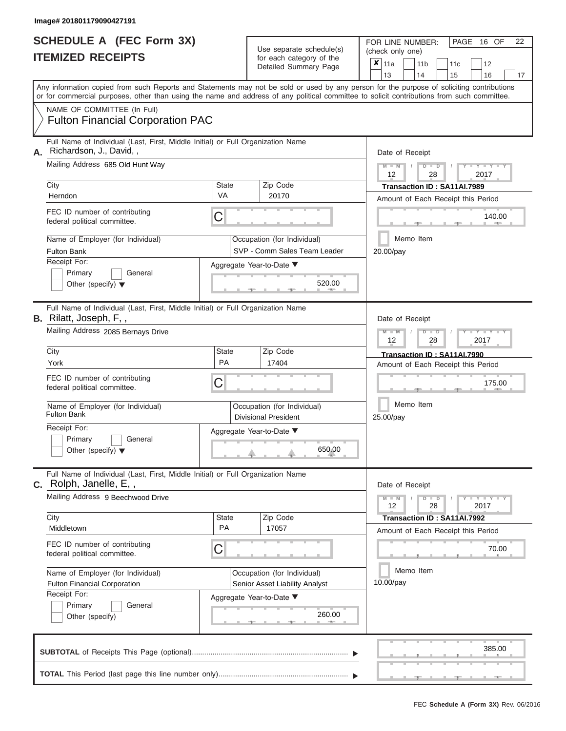| SCHEDULE A (FEC Form 3X)<br><b>ITEMIZED RECEIPTS</b>                                                                                                                                                                                                                                    | Use separate schedule(s)<br>for each category of the<br>Detailed Summary Page | PAGE 16 OF<br>FOR LINE NUMBER:<br>(check only one)<br>$\mathbf{x}$<br>12<br>11a<br>11 <sub>b</sub><br>11c<br>13<br>14<br>15<br>16 |
|-----------------------------------------------------------------------------------------------------------------------------------------------------------------------------------------------------------------------------------------------------------------------------------------|-------------------------------------------------------------------------------|-----------------------------------------------------------------------------------------------------------------------------------|
| Any information copied from such Reports and Statements may not be sold or used by any person for the purpose of soliciting contributions<br>or for commercial purposes, other than using the name and address of any political committee to solicit contributions from such committee. |                                                                               |                                                                                                                                   |
| NAME OF COMMITTEE (In Full)<br><b>Fulton Financial Corporation PAC</b>                                                                                                                                                                                                                  |                                                                               |                                                                                                                                   |
| Full Name of Individual (Last, First, Middle Initial) or Full Organization Name<br>Richardson, J., David,,<br>А.                                                                                                                                                                        |                                                                               | Date of Receipt                                                                                                                   |
| Mailing Address 685 Old Hunt Way                                                                                                                                                                                                                                                        |                                                                               |                                                                                                                                   |

| Α. | an rearno or marviagar (East, First, Miladio Initial) or Fair Org<br>Richardson, J., David, ,                    |                                    | Date of Receipt                                               |                                                                                          |  |  |  |  |
|----|------------------------------------------------------------------------------------------------------------------|------------------------------------|---------------------------------------------------------------|------------------------------------------------------------------------------------------|--|--|--|--|
|    | Mailing Address 685 Old Hunt Way                                                                                 |                                    |                                                               | $+Y+Y+Y$<br>$M - M$<br>D<br>$\Box$<br>2017<br>12<br>28                                   |  |  |  |  |
|    | City                                                                                                             | <b>State</b>                       | Zip Code                                                      | Transaction ID: SA11AI.7989                                                              |  |  |  |  |
|    | Herndon                                                                                                          | VA                                 | 20170                                                         | Amount of Each Receipt this Period                                                       |  |  |  |  |
|    | FEC ID number of contributing<br>federal political committee.                                                    | C                                  |                                                               | 140.00                                                                                   |  |  |  |  |
|    | Name of Employer (for Individual)                                                                                |                                    | Occupation (for Individual)                                   | Memo Item                                                                                |  |  |  |  |
|    | <b>Fulton Bank</b>                                                                                               |                                    | SVP - Comm Sales Team Leader                                  | 20.00/pay                                                                                |  |  |  |  |
|    | Receipt For:                                                                                                     |                                    | Aggregate Year-to-Date ▼                                      |                                                                                          |  |  |  |  |
|    | Primary<br>General                                                                                               |                                    |                                                               |                                                                                          |  |  |  |  |
|    | Other (specify) $\blacktriangledown$                                                                             |                                    | 520.00                                                        |                                                                                          |  |  |  |  |
|    | Full Name of Individual (Last, First, Middle Initial) or Full Organization Name<br><b>B.</b> Rilatt, Joseph, F,, |                                    |                                                               | Date of Receipt                                                                          |  |  |  |  |
|    | Mailing Address 2085 Bernays Drive                                                                               |                                    |                                                               | $T - Y = T - Y = T - Y$<br>$\overline{\mathsf{D}}$<br>$\blacksquare$<br>2017<br>12<br>28 |  |  |  |  |
|    | City                                                                                                             | <b>State</b>                       | Zip Code                                                      | Transaction ID: SA11AI.7990                                                              |  |  |  |  |
|    | York                                                                                                             | PA                                 | 17404                                                         | Amount of Each Receipt this Period                                                       |  |  |  |  |
|    | FEC ID number of contributing<br>federal political committee.                                                    | C                                  |                                                               | 175.00                                                                                   |  |  |  |  |
|    | Name of Employer (for Individual)<br><b>Fulton Bank</b>                                                          |                                    | Occupation (for Individual)<br><b>Divisional President</b>    | Memo Item<br>25.00/pay                                                                   |  |  |  |  |
|    | Receipt For:                                                                                                     |                                    | Aggregate Year-to-Date ▼                                      |                                                                                          |  |  |  |  |
|    | General<br>Primary<br>Other (specify) $\blacktriangledown$                                                       |                                    | 650.00                                                        |                                                                                          |  |  |  |  |
|    | Full Name of Individual (Last, First, Middle Initial) or Full Organization Name<br>C. Rolph, Janelle, E,,        |                                    |                                                               | Date of Receipt                                                                          |  |  |  |  |
|    | Mailing Address 9 Beechwood Drive                                                                                |                                    |                                                               |                                                                                          |  |  |  |  |
|    |                                                                                                                  |                                    |                                                               | $-Y - Y - Y - Y$<br>D<br>$\overline{\phantom{a}}$<br>2017<br>12<br>28                    |  |  |  |  |
|    | City                                                                                                             | <b>State</b>                       | Zip Code                                                      | Transaction ID: SA11AI.7992                                                              |  |  |  |  |
|    | Middletown                                                                                                       | PA                                 | 17057                                                         | Amount of Each Receipt this Period                                                       |  |  |  |  |
|    | FEC ID number of contributing<br>federal political committee.                                                    | С                                  |                                                               | 70.00                                                                                    |  |  |  |  |
|    | Name of Employer (for Individual)<br>Fulton Financial Corporation                                                |                                    | Occupation (for Individual)<br>Senior Asset Liability Analyst | Memo Item<br>10.00/pay                                                                   |  |  |  |  |
|    | Receipt For:<br>Primary<br>General<br>Other (specify)                                                            | Aggregate Year-to-Date ▼<br>260.00 |                                                               |                                                                                          |  |  |  |  |
|    |                                                                                                                  |                                    |                                                               | 385.00                                                                                   |  |  |  |  |
|    |                                                                                                                  |                                    |                                                               |                                                                                          |  |  |  |  |

|13 | |14 | |15 | |16 | |17

PAGE 16 OF 22

FEC **Schedule A (Form 3X)** Rev. 06/2016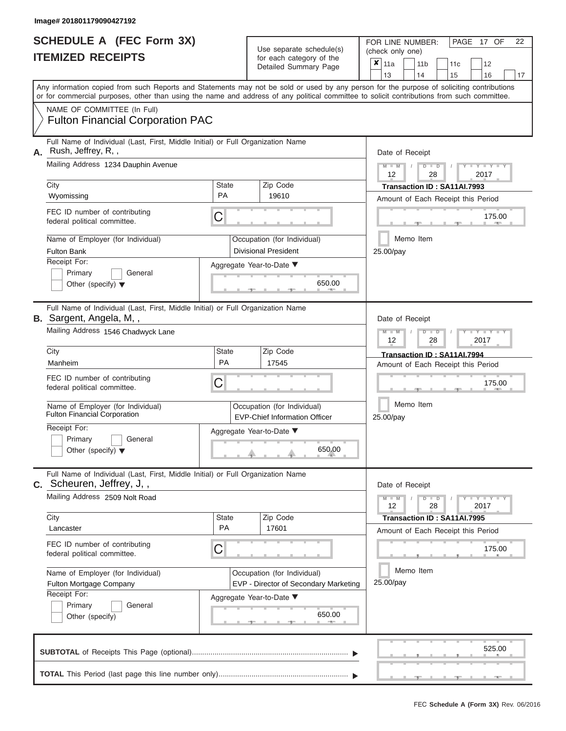|                          | <b>SCHEDULE A (FEC Form 3X)</b> |
|--------------------------|---------------------------------|
| <b>ITEMIZED RECEIPTS</b> |                                 |

FOR LINE NUMBER:<br>(check only one)

PAGE 17 OF 22

|    |                                                                                                                                                                                                                                                                                         |                                    |  | $0.0011$ $0.000901$ $y$ $0.010$<br>Detailed Summary Page             |                        | x                                                    | 11a<br>13     |                                                                          | 11 <sub>b</sub><br>14 | 11 <sub>c</sub><br>15                                             | 12<br>16                     | 17 |  |  |  |  |  |  |  |
|----|-----------------------------------------------------------------------------------------------------------------------------------------------------------------------------------------------------------------------------------------------------------------------------------------|------------------------------------|--|----------------------------------------------------------------------|------------------------|------------------------------------------------------|---------------|--------------------------------------------------------------------------|-----------------------|-------------------------------------------------------------------|------------------------------|----|--|--|--|--|--|--|--|
|    | Any information copied from such Reports and Statements may not be sold or used by any person for the purpose of soliciting contributions<br>or for commercial purposes, other than using the name and address of any political committee to solicit contributions from such committee. |                                    |  |                                                                      |                        |                                                      |               |                                                                          |                       |                                                                   |                              |    |  |  |  |  |  |  |  |
|    | NAME OF COMMITTEE (In Full)<br><b>Fulton Financial Corporation PAC</b>                                                                                                                                                                                                                  |                                    |  |                                                                      |                        |                                                      |               |                                                                          |                       |                                                                   |                              |    |  |  |  |  |  |  |  |
| А. | Full Name of Individual (Last, First, Middle Initial) or Full Organization Name<br>Rush, Jeffrey, R,,<br>Mailing Address 1234 Dauphin Avenue                                                                                                                                            |                                    |  |                                                                      |                        | Date of Receipt<br>$M - M$<br>$D$ $D$<br>$Y - Y - I$ |               |                                                                          |                       |                                                                   |                              |    |  |  |  |  |  |  |  |
|    |                                                                                                                                                                                                                                                                                         |                                    |  |                                                                      |                        |                                                      | 12            |                                                                          | 28                    |                                                                   | 2017                         |    |  |  |  |  |  |  |  |
|    | City<br>Wyomissing                                                                                                                                                                                                                                                                      | <b>State</b><br>PA                 |  | Zip Code<br>19610                                                    |                        |                                                      |               |                                                                          |                       | Transaction ID: SA11AI.7993<br>Amount of Each Receipt this Period |                              |    |  |  |  |  |  |  |  |
|    | FEC ID number of contributing<br>federal political committee.                                                                                                                                                                                                                           | C                                  |  |                                                                      |                        |                                                      |               |                                                                          |                       |                                                                   | 175.00                       |    |  |  |  |  |  |  |  |
|    | Name of Employer (for Individual)<br><b>Fulton Bank</b>                                                                                                                                                                                                                                 |                                    |  | Occupation (for Individual)<br><b>Divisional President</b>           |                        |                                                      | 25.00/pay     |                                                                          | Memo Item             |                                                                   |                              |    |  |  |  |  |  |  |  |
|    | Receipt For:<br>Primary<br>General<br>Other (specify) $\blacktriangledown$                                                                                                                                                                                                              | Aggregate Year-to-Date ▼           |  | 650.00<br>- 7 -                                                      |                        |                                                      |               |                                                                          |                       |                                                                   |                              |    |  |  |  |  |  |  |  |
|    | Full Name of Individual (Last, First, Middle Initial) or Full Organization Name<br>B. Sargent, Angela, M,,                                                                                                                                                                              |                                    |  |                                                                      |                        |                                                      |               |                                                                          | Date of Receipt       |                                                                   |                              |    |  |  |  |  |  |  |  |
|    | Mailing Address 1546 Chadwyck Lane                                                                                                                                                                                                                                                      |                                    |  |                                                                      |                        |                                                      |               | $M - M$<br>$\overline{\mathsf{D}}$<br>$\blacksquare$<br>2017<br>12<br>28 |                       |                                                                   |                              |    |  |  |  |  |  |  |  |
|    | City<br>Manheim                                                                                                                                                                                                                                                                         | <b>State</b><br>PA                 |  | Zip Code<br>17545                                                    |                        |                                                      |               |                                                                          |                       | Transaction ID: SA11AI.7994                                       |                              |    |  |  |  |  |  |  |  |
|    | FEC ID number of contributing<br>С<br>federal political committee.                                                                                                                                                                                                                      |                                    |  |                                                                      |                        |                                                      |               | Amount of Each Receipt this Period<br>175.00                             |                       |                                                                   |                              |    |  |  |  |  |  |  |  |
|    | Name of Employer (for Individual)<br><b>Fulton Financial Corporation</b>                                                                                                                                                                                                                |                                    |  | Occupation (for Individual)<br><b>EVP-Chief Information Officer</b>  |                        | Memo Item<br>25.00/pay                               |               |                                                                          |                       |                                                                   |                              |    |  |  |  |  |  |  |  |
|    | Receipt For:<br>Primary<br>General<br>Other (specify) $\blacktriangledown$                                                                                                                                                                                                              | Aggregate Year-to-Date ▼<br>650.00 |  |                                                                      |                        |                                                      |               |                                                                          |                       |                                                                   |                              |    |  |  |  |  |  |  |  |
|    | Full Name of Individual (Last, First, Middle Initial) or Full Organization Name<br>C. Scheuren, Jeffrey, J,,                                                                                                                                                                            |                                    |  |                                                                      |                        |                                                      |               |                                                                          | Date of Receipt       |                                                                   |                              |    |  |  |  |  |  |  |  |
|    | Mailing Address 2509 Nolt Road                                                                                                                                                                                                                                                          |                                    |  |                                                                      |                        |                                                      | $M - M$<br>12 |                                                                          | $D$ $D$<br>28         |                                                                   | $-1 - Y - 1 - Y - 1$<br>2017 |    |  |  |  |  |  |  |  |
|    | City<br>Lancaster                                                                                                                                                                                                                                                                       | <b>State</b><br>PA                 |  | Zip Code<br>17601                                                    |                        |                                                      |               |                                                                          |                       | Transaction ID: SA11AI.7995<br>Amount of Each Receipt this Period |                              |    |  |  |  |  |  |  |  |
|    | FEC ID number of contributing<br>federal political committee.                                                                                                                                                                                                                           | С                                  |  |                                                                      |                        |                                                      |               |                                                                          |                       |                                                                   | 175.00                       |    |  |  |  |  |  |  |  |
|    | Name of Employer (for Individual)<br>Fulton Mortgage Company<br>Receipt For:                                                                                                                                                                                                            |                                    |  | Occupation (for Individual)<br>EVP - Director of Secondary Marketing | Memo Item<br>25.00/pay |                                                      |               |                                                                          |                       |                                                                   |                              |    |  |  |  |  |  |  |  |
|    | Primary<br>General<br>Other (specify)                                                                                                                                                                                                                                                   | Aggregate Year-to-Date ▼           |  | 650.00                                                               |                        |                                                      |               |                                                                          |                       |                                                                   |                              |    |  |  |  |  |  |  |  |
|    |                                                                                                                                                                                                                                                                                         |                                    |  |                                                                      |                        |                                                      |               |                                                                          |                       |                                                                   | 525.00                       |    |  |  |  |  |  |  |  |
|    |                                                                                                                                                                                                                                                                                         |                                    |  |                                                                      |                        |                                                      |               |                                                                          |                       |                                                                   |                              |    |  |  |  |  |  |  |  |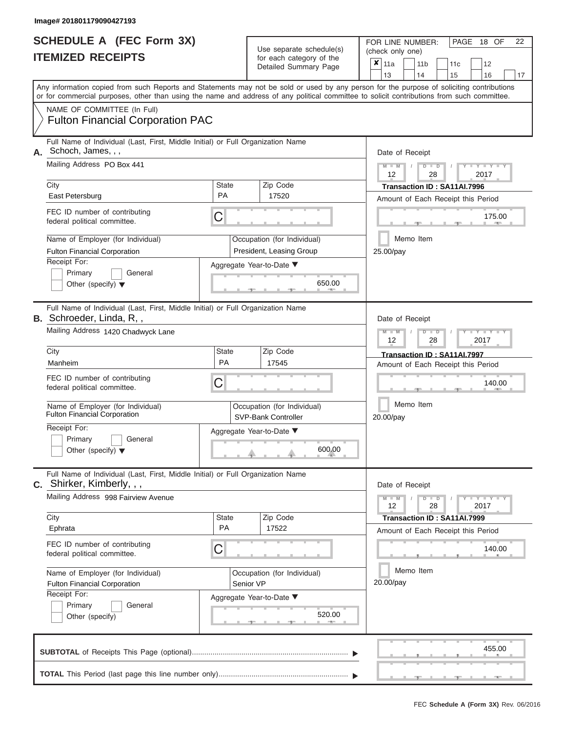|                          | <b>SCHEDULE A (FEC Form 3X)</b> |
|--------------------------|---------------------------------|
| <b>ITEMIZED RECEIPTS</b> |                                 |

FOR LINE NUMBER:<br>(check only one)

PAGE 18 OF 22

|                                                                                                                                                                                                                                                                                         |                    |           | badii balogory of life<br>Detailed Summary Page         | x                      | 11a<br>13                                                             |  |                                                                               | 11 <sub>b</sub><br>14     | 11c<br>15                                                         | 12<br>16                                                    |        | 17 |  |  |  |  |  |
|-----------------------------------------------------------------------------------------------------------------------------------------------------------------------------------------------------------------------------------------------------------------------------------------|--------------------|-----------|---------------------------------------------------------|------------------------|-----------------------------------------------------------------------|--|-------------------------------------------------------------------------------|---------------------------|-------------------------------------------------------------------|-------------------------------------------------------------|--------|----|--|--|--|--|--|
| Any information copied from such Reports and Statements may not be sold or used by any person for the purpose of soliciting contributions<br>or for commercial purposes, other than using the name and address of any political committee to solicit contributions from such committee. |                    |           |                                                         |                        |                                                                       |  |                                                                               |                           |                                                                   |                                                             |        |    |  |  |  |  |  |
| NAME OF COMMITTEE (In Full)<br><b>Fulton Financial Corporation PAC</b>                                                                                                                                                                                                                  |                    |           |                                                         |                        |                                                                       |  |                                                                               |                           |                                                                   |                                                             |        |    |  |  |  |  |  |
| Full Name of Individual (Last, First, Middle Initial) or Full Organization Name<br>Schoch, James, , ,                                                                                                                                                                                   |                    |           |                                                         |                        |                                                                       |  |                                                                               | Date of Receipt           |                                                                   |                                                             |        |    |  |  |  |  |  |
| Mailing Address PO Box 441                                                                                                                                                                                                                                                              |                    |           |                                                         |                        | $M - M$<br>$D$ $D$<br>12<br>2017<br>28<br>Transaction ID: SA11AI.7996 |  |                                                                               |                           |                                                                   |                                                             |        |    |  |  |  |  |  |
| City<br>East Petersburg                                                                                                                                                                                                                                                                 | <b>State</b><br>PA |           | Zip Code<br>17520                                       |                        |                                                                       |  |                                                                               |                           | Amount of Each Receipt this Period                                |                                                             |        |    |  |  |  |  |  |
| FEC ID number of contributing<br>federal political committee.                                                                                                                                                                                                                           | С                  |           |                                                         | 175.00                 |                                                                       |  |                                                                               |                           |                                                                   |                                                             |        |    |  |  |  |  |  |
| Name of Employer (for Individual)<br><b>Fulton Financial Corporation</b>                                                                                                                                                                                                                |                    |           | Occupation (for Individual)<br>President, Leasing Group | Memo Item<br>25.00/pay |                                                                       |  |                                                                               |                           |                                                                   |                                                             |        |    |  |  |  |  |  |
| Receipt For:<br>Primary<br>General<br>Other (specify) $\blacktriangledown$                                                                                                                                                                                                              |                    |           | Aggregate Year-to-Date ▼<br>650.00<br>$-1$              |                        |                                                                       |  |                                                                               |                           |                                                                   |                                                             |        |    |  |  |  |  |  |
| Full Name of Individual (Last, First, Middle Initial) or Full Organization Name<br><b>B.</b> Schroeder, Linda, R,,                                                                                                                                                                      |                    |           |                                                         |                        |                                                                       |  | Date of Receipt<br>$M - M$<br>D<br>Y TY<br>$\blacksquare$<br>2017<br>12<br>28 |                           |                                                                   |                                                             |        |    |  |  |  |  |  |
| Mailing Address 1420 Chadwyck Lane                                                                                                                                                                                                                                                      |                    |           |                                                         |                        |                                                                       |  |                                                                               |                           |                                                                   |                                                             |        |    |  |  |  |  |  |
| City<br>Manheim                                                                                                                                                                                                                                                                         | <b>State</b><br>PA |           | Zip Code<br>17545                                       |                        |                                                                       |  |                                                                               |                           | Transaction ID: SA11AI.7997<br>Amount of Each Receipt this Period |                                                             |        |    |  |  |  |  |  |
| FEC ID number of contributing<br>federal political committee.                                                                                                                                                                                                                           | С                  |           |                                                         |                        | 140.00<br>Memo Item<br>20.00/pay                                      |  |                                                                               |                           |                                                                   |                                                             |        |    |  |  |  |  |  |
| Name of Employer (for Individual)<br><b>Fulton Financial Corporation</b>                                                                                                                                                                                                                |                    |           | Occupation (for Individual)<br>SVP-Bank Controller      |                        |                                                                       |  |                                                                               |                           |                                                                   |                                                             |        |    |  |  |  |  |  |
| Receipt For:<br>Primary<br>General<br>Other (specify) $\blacktriangledown$                                                                                                                                                                                                              |                    |           | Aggregate Year-to-Date ▼<br>600.00                      |                        |                                                                       |  |                                                                               |                           |                                                                   |                                                             |        |    |  |  |  |  |  |
| Full Name of Individual (Last, First, Middle Initial) or Full Organization Name<br>C. Shirker, Kimberly, , ,                                                                                                                                                                            |                    |           |                                                         |                        |                                                                       |  |                                                                               | Date of Receipt           |                                                                   |                                                             |        |    |  |  |  |  |  |
| Mailing Address 998 Fairview Avenue                                                                                                                                                                                                                                                     |                    |           |                                                         |                        | $M - M$<br>12                                                         |  |                                                                               | D<br>$\blacksquare$<br>28 |                                                                   | $\mathbf{I} = \mathbf{Y} + \mathbf{I} - \mathbf{Y}$<br>2017 |        |    |  |  |  |  |  |
| City<br>Ephrata                                                                                                                                                                                                                                                                         | <b>State</b><br>PA |           | Zip Code<br>17522                                       |                        |                                                                       |  |                                                                               |                           | Transaction ID: SA11AI.7999<br>Amount of Each Receipt this Period |                                                             |        |    |  |  |  |  |  |
| FEC ID number of contributing<br>federal political committee.                                                                                                                                                                                                                           | С                  |           |                                                         |                        |                                                                       |  |                                                                               |                           |                                                                   |                                                             | 140.00 |    |  |  |  |  |  |
| Name of Employer (for Individual)<br><b>Fulton Financial Corporation</b><br>Receipt For:                                                                                                                                                                                                |                    | Senior VP | Occupation (for Individual)                             | Memo Item<br>20.00/pay |                                                                       |  |                                                                               |                           |                                                                   |                                                             |        |    |  |  |  |  |  |
| Primary<br>General<br>Other (specify)                                                                                                                                                                                                                                                   |                    |           | Aggregate Year-to-Date ▼<br>520.00                      |                        |                                                                       |  |                                                                               |                           |                                                                   |                                                             |        |    |  |  |  |  |  |
|                                                                                                                                                                                                                                                                                         |                    |           |                                                         |                        |                                                                       |  |                                                                               |                           |                                                                   |                                                             | 455.00 |    |  |  |  |  |  |
|                                                                                                                                                                                                                                                                                         |                    |           |                                                         |                        |                                                                       |  |                                                                               |                           |                                                                   |                                                             |        |    |  |  |  |  |  |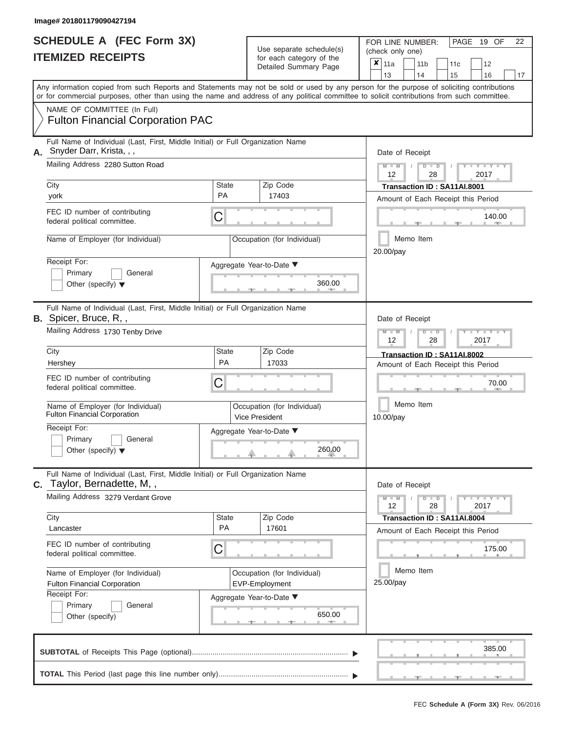|                          | <b>SCHEDULE A (FEC Form 3X)</b> |
|--------------------------|---------------------------------|
| <b>ITEMIZED RECEIPTS</b> |                                 |

FOR LINE NUMBER:<br>(check only one)

PAGE 19 OF 22

|    |                                                                                                                                                                                                                                                                                         |                           | $0.0011$ $0.000901$ $y$ $0.010$<br>Detailed Summary Page | ×                                                                 | 11a<br>13                              |  | 11 <sub>b</sub><br>14          | 11c<br>15                                                         | 12<br>16                                                                                          | 17 |  |  |  |  |  |  |  |
|----|-----------------------------------------------------------------------------------------------------------------------------------------------------------------------------------------------------------------------------------------------------------------------------------------|---------------------------|----------------------------------------------------------|-------------------------------------------------------------------|----------------------------------------|--|--------------------------------|-------------------------------------------------------------------|---------------------------------------------------------------------------------------------------|----|--|--|--|--|--|--|--|
|    | Any information copied from such Reports and Statements may not be sold or used by any person for the purpose of soliciting contributions<br>or for commercial purposes, other than using the name and address of any political committee to solicit contributions from such committee. |                           |                                                          |                                                                   |                                        |  |                                |                                                                   |                                                                                                   |    |  |  |  |  |  |  |  |
|    | NAME OF COMMITTEE (In Full)<br><b>Fulton Financial Corporation PAC</b>                                                                                                                                                                                                                  |                           |                                                          |                                                                   |                                        |  |                                |                                                                   |                                                                                                   |    |  |  |  |  |  |  |  |
| А. | Full Name of Individual (Last, First, Middle Initial) or Full Organization Name<br>Snyder Darr, Krista, , ,                                                                                                                                                                             |                           |                                                          |                                                                   | Date of Receipt                        |  |                                |                                                                   |                                                                                                   |    |  |  |  |  |  |  |  |
|    | Mailing Address 2280 Sutton Road                                                                                                                                                                                                                                                        |                           |                                                          |                                                                   | $M - M$<br>12                          |  | $D$ $D$<br>28                  |                                                                   | 2017                                                                                              |    |  |  |  |  |  |  |  |
|    | City<br>york                                                                                                                                                                                                                                                                            | <b>State</b><br>PA        | Zip Code<br>17403                                        | Transaction ID: SA11AI.8001<br>Amount of Each Receipt this Period |                                        |  |                                |                                                                   |                                                                                                   |    |  |  |  |  |  |  |  |
|    | FEC ID number of contributing<br>federal political committee.                                                                                                                                                                                                                           | C                         |                                                          |                                                                   | 140.00                                 |  |                                |                                                                   |                                                                                                   |    |  |  |  |  |  |  |  |
|    | Name of Employer (for Individual)                                                                                                                                                                                                                                                       |                           | Occupation (for Individual)                              |                                                                   | Memo Item<br>20.00/pay                 |  |                                |                                                                   |                                                                                                   |    |  |  |  |  |  |  |  |
|    | Receipt For:<br>Primary<br>General<br>Other (specify) $\blacktriangledown$                                                                                                                                                                                                              |                           | Aggregate Year-to-Date ▼<br>360.00                       |                                                                   |                                        |  |                                |                                                                   |                                                                                                   |    |  |  |  |  |  |  |  |
|    | Full Name of Individual (Last, First, Middle Initial) or Full Organization Name<br><b>B.</b> Spicer, Bruce, R,,                                                                                                                                                                         |                           |                                                          |                                                                   |                                        |  | Date of Receipt                |                                                                   |                                                                                                   |    |  |  |  |  |  |  |  |
|    | Mailing Address 1730 Tenby Drive                                                                                                                                                                                                                                                        |                           |                                                          |                                                                   | $M - M$<br>$D$ $D$<br>12<br>28<br>2017 |  |                                |                                                                   |                                                                                                   |    |  |  |  |  |  |  |  |
|    | City<br>Hershey                                                                                                                                                                                                                                                                         | <b>State</b><br><b>PA</b> | Zip Code<br>17033                                        |                                                                   |                                        |  |                                | Transaction ID: SA11AI.8002<br>Amount of Each Receipt this Period |                                                                                                   |    |  |  |  |  |  |  |  |
|    | FEC ID number of contributing<br>federal political committee.                                                                                                                                                                                                                           | С                         |                                                          |                                                                   | 70.00<br>Memo Item<br>10.00/pay        |  |                                |                                                                   |                                                                                                   |    |  |  |  |  |  |  |  |
|    | Name of Employer (for Individual)<br><b>Fulton Financial Corporation</b>                                                                                                                                                                                                                |                           | Occupation (for Individual)<br>Vice President            |                                                                   |                                        |  |                                |                                                                   |                                                                                                   |    |  |  |  |  |  |  |  |
|    | Receipt For:<br>Primary<br>General<br>Other (specify) $\blacktriangledown$                                                                                                                                                                                                              |                           | Aggregate Year-to-Date ▼<br>260.00                       |                                                                   |                                        |  |                                |                                                                   |                                                                                                   |    |  |  |  |  |  |  |  |
|    | Full Name of Individual (Last, First, Middle Initial) or Full Organization Name<br>C. Taylor, Bernadette, M,,                                                                                                                                                                           |                           |                                                          |                                                                   | Date of Receipt                        |  |                                |                                                                   |                                                                                                   |    |  |  |  |  |  |  |  |
|    | Mailing Address 3279 Verdant Grove                                                                                                                                                                                                                                                      |                           |                                                          |                                                                   | $M - M$<br>12                          |  | $\overline{\phantom{a}}$<br>28 |                                                                   | $\blacksquare$ $\blacksquare$ $\blacksquare$ $\blacksquare$ $\blacksquare$ $\blacksquare$<br>2017 |    |  |  |  |  |  |  |  |
|    | City<br>Lancaster                                                                                                                                                                                                                                                                       | <b>State</b><br>PA        | Zip Code<br>17601                                        |                                                                   |                                        |  |                                | Transaction ID: SA11AI.8004<br>Amount of Each Receipt this Period |                                                                                                   |    |  |  |  |  |  |  |  |
|    | FEC ID number of contributing<br>federal political committee.                                                                                                                                                                                                                           | С                         |                                                          |                                                                   |                                        |  |                                |                                                                   | 175.00                                                                                            |    |  |  |  |  |  |  |  |
|    | Name of Employer (for Individual)<br>Fulton Financial Corporation<br>Receipt For:                                                                                                                                                                                                       |                           | Occupation (for Individual)<br>EVP-Employment            |                                                                   | Memo Item<br>25.00/pay                 |  |                                |                                                                   |                                                                                                   |    |  |  |  |  |  |  |  |
|    | Primary<br>General<br>Other (specify)                                                                                                                                                                                                                                                   |                           | Aggregate Year-to-Date ▼<br>650.00                       |                                                                   |                                        |  |                                |                                                                   |                                                                                                   |    |  |  |  |  |  |  |  |
|    |                                                                                                                                                                                                                                                                                         |                           |                                                          |                                                                   |                                        |  |                                |                                                                   | 385.00                                                                                            |    |  |  |  |  |  |  |  |
|    |                                                                                                                                                                                                                                                                                         |                           |                                                          |                                                                   |                                        |  |                                |                                                                   |                                                                                                   |    |  |  |  |  |  |  |  |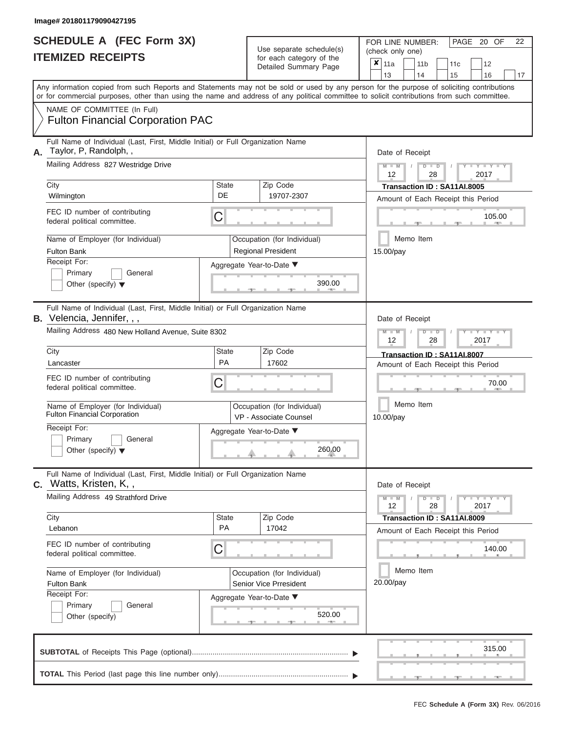|                          | SCHEDULE A (FEC Form 3X) |
|--------------------------|--------------------------|
| <b>ITEMIZED RECEIPTS</b> |                          |

FOR LINE NUMBER:<br>(check only one) Use separate schedule(s)<br>for each category of the

|    |                                                                                                                                                                                                                                                                                         |                    |                                                       | badii balogory of life<br>Detailed Summary Page              | ×                                            | 11a<br>13                                                         |  |                                                                                             | 11 <sub>b</sub><br>14 |                        | 11c<br>15                   | 12<br>16                           |        | 17 |  |  |  |  |  |  |
|----|-----------------------------------------------------------------------------------------------------------------------------------------------------------------------------------------------------------------------------------------------------------------------------------------|--------------------|-------------------------------------------------------|--------------------------------------------------------------|----------------------------------------------|-------------------------------------------------------------------|--|---------------------------------------------------------------------------------------------|-----------------------|------------------------|-----------------------------|------------------------------------|--------|----|--|--|--|--|--|--|
|    | Any information copied from such Reports and Statements may not be sold or used by any person for the purpose of soliciting contributions<br>or for commercial purposes, other than using the name and address of any political committee to solicit contributions from such committee. |                    |                                                       |                                                              |                                              |                                                                   |  |                                                                                             |                       |                        |                             |                                    |        |    |  |  |  |  |  |  |
|    | NAME OF COMMITTEE (In Full)<br><b>Fulton Financial Corporation PAC</b>                                                                                                                                                                                                                  |                    |                                                       |                                                              |                                              |                                                                   |  |                                                                                             |                       |                        |                             |                                    |        |    |  |  |  |  |  |  |
| А. | Full Name of Individual (Last, First, Middle Initial) or Full Organization Name<br>Taylor, P, Randolph,,<br>Mailing Address 827 Westridge Drive                                                                                                                                         |                    |                                                       |                                                              |                                              | Date of Receipt<br>$M - M$<br>$D$ $D$                             |  |                                                                                             |                       |                        |                             |                                    |        |    |  |  |  |  |  |  |
|    | City                                                                                                                                                                                                                                                                                    | <b>State</b>       |                                                       | Zip Code                                                     |                                              | 12                                                                |  |                                                                                             |                       | 28                     | Transaction ID: SA11AI.8005 | 2017                               |        |    |  |  |  |  |  |  |
|    | Wilmington                                                                                                                                                                                                                                                                              | DE                 |                                                       | 19707-2307                                                   |                                              |                                                                   |  |                                                                                             |                       |                        |                             | Amount of Each Receipt this Period |        |    |  |  |  |  |  |  |
|    | FEC ID number of contributing<br>federal political committee.                                                                                                                                                                                                                           | C                  |                                                       |                                                              | 105.00                                       |                                                                   |  |                                                                                             |                       |                        |                             |                                    |        |    |  |  |  |  |  |  |
|    | Name of Employer (for Individual)<br><b>Fulton Bank</b>                                                                                                                                                                                                                                 |                    |                                                       | Occupation (for Individual)<br><b>Regional President</b>     |                                              | Memo Item<br>15.00/pay                                            |  |                                                                                             |                       |                        |                             |                                    |        |    |  |  |  |  |  |  |
|    | Receipt For:<br>Primary<br>General<br>Other (specify) $\blacktriangledown$                                                                                                                                                                                                              |                    |                                                       | Aggregate Year-to-Date ▼<br>390.00<br>$-1$                   |                                              |                                                                   |  |                                                                                             |                       |                        |                             |                                    |        |    |  |  |  |  |  |  |
|    | Full Name of Individual (Last, First, Middle Initial) or Full Organization Name<br>B. Velencia, Jennifer, , ,                                                                                                                                                                           |                    |                                                       |                                                              |                                              |                                                                   |  | Date of Receipt<br>$M - M$<br>$\overline{\mathsf{D}}$<br>$\blacksquare$<br>2017<br>12<br>28 |                       |                        |                             |                                    |        |    |  |  |  |  |  |  |
|    | Mailing Address 480 New Holland Avenue, Suite 8302                                                                                                                                                                                                                                      |                    |                                                       |                                                              |                                              |                                                                   |  |                                                                                             |                       |                        |                             |                                    |        |    |  |  |  |  |  |  |
|    | City<br>Lancaster                                                                                                                                                                                                                                                                       | <b>State</b><br>PA |                                                       | Zip Code<br>17602                                            |                                              | Transaction ID: SA11AI.8007<br>Amount of Each Receipt this Period |  |                                                                                             |                       |                        |                             |                                    |        |    |  |  |  |  |  |  |
|    | FEC ID number of contributing<br>federal political committee.                                                                                                                                                                                                                           | C                  |                                                       |                                                              |                                              |                                                                   |  |                                                                                             |                       |                        | 70.00                       |                                    |        |    |  |  |  |  |  |  |
|    | Name of Employer (for Individual)<br><b>Fulton Financial Corporation</b>                                                                                                                                                                                                                |                    | Occupation (for Individual)<br>VP - Associate Counsel |                                                              |                                              |                                                                   |  |                                                                                             |                       | Memo Item<br>10.00/pay |                             |                                    |        |    |  |  |  |  |  |  |
|    | Receipt For:<br>Primary<br>General<br>Other (specify) $\blacktriangledown$                                                                                                                                                                                                              |                    |                                                       | Aggregate Year-to-Date ▼<br>260.00                           |                                              |                                                                   |  |                                                                                             |                       |                        |                             |                                    |        |    |  |  |  |  |  |  |
| C. | Full Name of Individual (Last, First, Middle Initial) or Full Organization Name<br>Watts, Kristen, K,,                                                                                                                                                                                  |                    |                                                       |                                                              |                                              |                                                                   |  |                                                                                             | Date of Receipt       |                        |                             |                                    |        |    |  |  |  |  |  |  |
|    | Mailing Address 49 Strathford Drive                                                                                                                                                                                                                                                     |                    |                                                       |                                                              |                                              | $M - M$<br>12                                                     |  |                                                                                             |                       | $\blacksquare$<br>28   |                             | $T - Y = Y - T$<br>2017            |        |    |  |  |  |  |  |  |
|    | City<br>Lebanon                                                                                                                                                                                                                                                                         | <b>State</b><br>PA |                                                       | Zip Code<br>17042                                            |                                              |                                                                   |  |                                                                                             |                       |                        | Transaction ID: SA11AI.8009 |                                    |        |    |  |  |  |  |  |  |
|    | FEC ID number of contributing<br>federal political committee.                                                                                                                                                                                                                           | C                  |                                                       |                                                              | Amount of Each Receipt this Period<br>140.00 |                                                                   |  |                                                                                             |                       |                        |                             |                                    |        |    |  |  |  |  |  |  |
|    | Name of Employer (for Individual)<br><b>Fulton Bank</b>                                                                                                                                                                                                                                 |                    |                                                       | Occupation (for Individual)<br><b>Senior Vice Prresident</b> |                                              | Memo Item<br>20.00/pay                                            |  |                                                                                             |                       |                        |                             |                                    |        |    |  |  |  |  |  |  |
|    | Receipt For:<br>Primary<br>General<br>Other (specify)                                                                                                                                                                                                                                   |                    |                                                       | Aggregate Year-to-Date ▼<br>520.00                           |                                              |                                                                   |  |                                                                                             |                       |                        |                             |                                    |        |    |  |  |  |  |  |  |
|    |                                                                                                                                                                                                                                                                                         |                    |                                                       |                                                              |                                              |                                                                   |  |                                                                                             |                       |                        |                             |                                    | 315.00 |    |  |  |  |  |  |  |
|    |                                                                                                                                                                                                                                                                                         |                    |                                                       |                                                              |                                              |                                                                   |  |                                                                                             |                       |                        |                             |                                    |        |    |  |  |  |  |  |  |

 ▲ ▲ ▲ , , .

PAGE 20 OF 22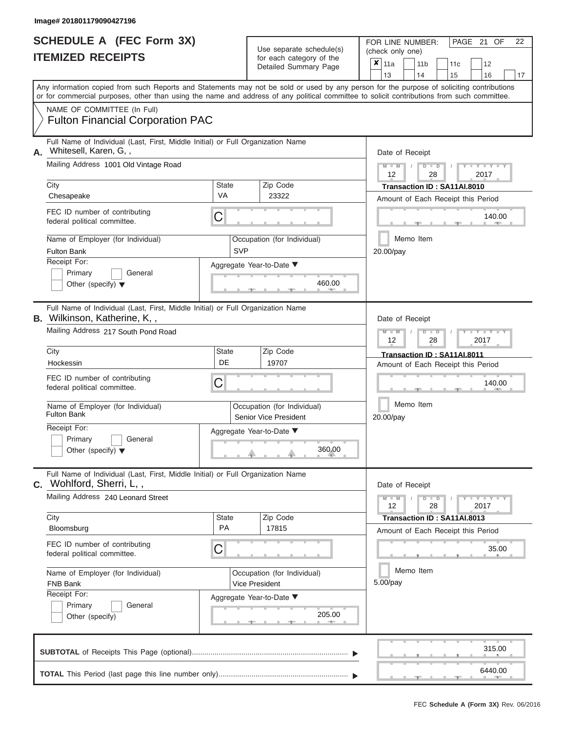|                          | <b>SCHEDULE A (FEC Form 3X)</b> |
|--------------------------|---------------------------------|
| <b>ITEMIZED RECEIPTS</b> |                                 |

FOR LINE NUMBER:<br>(check only one) Use separate schedule(s)<br>for each category of the

|    |                                                                                                                                                                                                                                                                                         |                                                      |                                               | badii balogory of lik<br>Detailed Summary Page | x |                                                                   | 11a<br>13                                                         |                                                                                              | 11 <sub>b</sub><br>14 | 11c<br>15                                                         |  | 12<br>16 | 17 |  |  |  |  |  |
|----|-----------------------------------------------------------------------------------------------------------------------------------------------------------------------------------------------------------------------------------------------------------------------------------------|------------------------------------------------------|-----------------------------------------------|------------------------------------------------|---|-------------------------------------------------------------------|-------------------------------------------------------------------|----------------------------------------------------------------------------------------------|-----------------------|-------------------------------------------------------------------|--|----------|----|--|--|--|--|--|
|    | Any information copied from such Reports and Statements may not be sold or used by any person for the purpose of soliciting contributions<br>or for commercial purposes, other than using the name and address of any political committee to solicit contributions from such committee. |                                                      |                                               |                                                |   |                                                                   |                                                                   |                                                                                              |                       |                                                                   |  |          |    |  |  |  |  |  |
|    | NAME OF COMMITTEE (In Full)<br><b>Fulton Financial Corporation PAC</b>                                                                                                                                                                                                                  |                                                      |                                               |                                                |   |                                                                   |                                                                   |                                                                                              |                       |                                                                   |  |          |    |  |  |  |  |  |
| Α. | Full Name of Individual (Last, First, Middle Initial) or Full Organization Name<br>Whitesell, Karen, G,,                                                                                                                                                                                |                                                      |                                               |                                                |   |                                                                   | Date of Receipt                                                   |                                                                                              |                       |                                                                   |  |          |    |  |  |  |  |  |
|    | Mailing Address 1001 Old Vintage Road                                                                                                                                                                                                                                                   |                                                      |                                               |                                                |   |                                                                   |                                                                   | $M - M$<br>$D$ $D$<br>12<br>2017<br>28                                                       |                       |                                                                   |  |          |    |  |  |  |  |  |
|    | City<br>Chesapeake                                                                                                                                                                                                                                                                      | Zip Code<br><b>State</b><br><b>VA</b><br>23322       |                                               |                                                |   |                                                                   | Transaction ID: SA11AI.8010<br>Amount of Each Receipt this Period |                                                                                              |                       |                                                                   |  |          |    |  |  |  |  |  |
|    | FEC ID number of contributing<br>federal political committee.                                                                                                                                                                                                                           | C                                                    |                                               |                                                |   |                                                                   | 140.00                                                            |                                                                                              |                       |                                                                   |  |          |    |  |  |  |  |  |
|    | Name of Employer (for Individual)<br><b>Fulton Bank</b>                                                                                                                                                                                                                                 | Occupation (for Individual)<br><b>SVP</b>            |                                               | Memo Item<br>20.00/pay                         |   |                                                                   |                                                                   |                                                                                              |                       |                                                                   |  |          |    |  |  |  |  |  |
|    | Receipt For:<br>Primary<br>General<br>Other (specify) $\blacktriangledown$                                                                                                                                                                                                              |                                                      |                                               | Aggregate Year-to-Date ▼<br>460.00             |   |                                                                   |                                                                   |                                                                                              |                       |                                                                   |  |          |    |  |  |  |  |  |
|    | Full Name of Individual (Last, First, Middle Initial) or Full Organization Name<br><b>B.</b> Wilkinson, Katherine, K,,                                                                                                                                                                  |                                                      |                                               |                                                |   |                                                                   | Date of Receipt                                                   |                                                                                              |                       |                                                                   |  |          |    |  |  |  |  |  |
|    | Mailing Address 217 South Pond Road                                                                                                                                                                                                                                                     |                                                      |                                               |                                                |   |                                                                   |                                                                   | $M - M$<br>D<br>Y Y<br>$\blacksquare$<br>2017<br>12<br>28                                    |                       |                                                                   |  |          |    |  |  |  |  |  |
|    | City<br>Hockessin                                                                                                                                                                                                                                                                       | <b>State</b><br>DE                                   |                                               | Zip Code<br>19707                              |   | Transaction ID: SA11AI.8011<br>Amount of Each Receipt this Period |                                                                   |                                                                                              |                       |                                                                   |  |          |    |  |  |  |  |  |
|    | FEC ID number of contributing<br>С<br>federal political committee.                                                                                                                                                                                                                      |                                                      |                                               |                                                |   |                                                                   |                                                                   | 140.00                                                                                       |                       |                                                                   |  |          |    |  |  |  |  |  |
|    | Name of Employer (for Individual)<br><b>Fulton Bank</b>                                                                                                                                                                                                                                 | Occupation (for Individual)<br>Senior Vice President |                                               | Memo Item<br>20.00/pay                         |   |                                                                   |                                                                   |                                                                                              |                       |                                                                   |  |          |    |  |  |  |  |  |
|    | Receipt For:<br>Primary<br>General<br>Other (specify) $\blacktriangledown$                                                                                                                                                                                                              |                                                      | Aggregate Year-to-Date ▼<br>360.00            |                                                |   |                                                                   |                                                                   |                                                                                              |                       |                                                                   |  |          |    |  |  |  |  |  |
|    | Full Name of Individual (Last, First, Middle Initial) or Full Organization Name<br>C. Wohlford, Sherri, L,,                                                                                                                                                                             |                                                      |                                               |                                                |   |                                                                   |                                                                   |                                                                                              | Date of Receipt       |                                                                   |  |          |    |  |  |  |  |  |
|    | Mailing Address 240 Leonard Street                                                                                                                                                                                                                                                      |                                                      |                                               |                                                |   |                                                                   |                                                                   | $M - M$<br>D<br>$\mathbf{I} = \mathbf{Y} + \mathbf{Y}$<br>$\blacksquare$<br>12<br>28<br>2017 |                       |                                                                   |  |          |    |  |  |  |  |  |
|    | City<br>Bloomsburg                                                                                                                                                                                                                                                                      | <b>State</b><br>PA                                   |                                               | Zip Code<br>17815                              |   |                                                                   |                                                                   |                                                                                              |                       | Transaction ID: SA11AI.8013<br>Amount of Each Receipt this Period |  |          |    |  |  |  |  |  |
|    | FEC ID number of contributing<br>federal political committee.                                                                                                                                                                                                                           | С                                                    |                                               |                                                |   |                                                                   |                                                                   |                                                                                              |                       | 35.00                                                             |  |          |    |  |  |  |  |  |
|    | Name of Employer (for Individual)<br>FNB Bank<br>Receipt For:                                                                                                                                                                                                                           |                                                      | Occupation (for Individual)<br>Vice President | Memo Item<br>$5.00$ /pay                       |   |                                                                   |                                                                   |                                                                                              |                       |                                                                   |  |          |    |  |  |  |  |  |
|    | General<br>Primary<br>Other (specify)                                                                                                                                                                                                                                                   |                                                      | Aggregate Year-to-Date ▼<br>205.00            |                                                |   |                                                                   |                                                                   |                                                                                              |                       |                                                                   |  |          |    |  |  |  |  |  |
|    |                                                                                                                                                                                                                                                                                         |                                                      |                                               |                                                |   |                                                                   |                                                                   |                                                                                              |                       |                                                                   |  | 315.00   |    |  |  |  |  |  |
|    |                                                                                                                                                                                                                                                                                         |                                                      |                                               |                                                |   |                                                                   |                                                                   |                                                                                              |                       |                                                                   |  | 6440.00  |    |  |  |  |  |  |

PAGE 21 OF 22